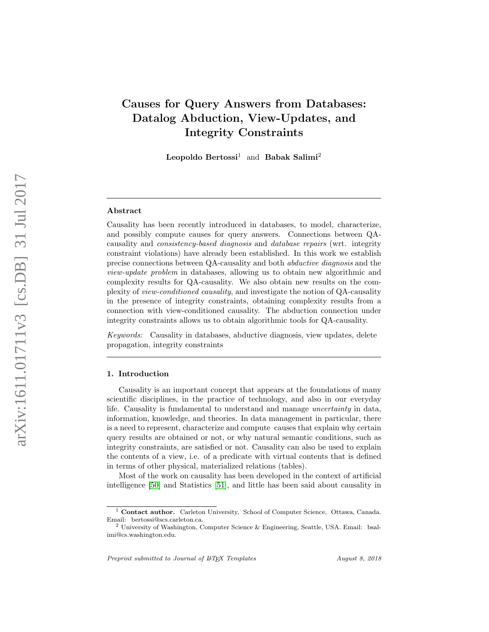# Causes for Query Answers from Databases: Datalog Abduction, View-Updates, and Integrity Constraints

Leopoldo Bertossi<sup>1</sup> and Babak Salimi<sup>2</sup>

#### Abstract

Causality has been recently introduced in databases, to model, characterize, and possibly compute causes for query answers. Connections between QAcausality and consistency-based diagnosis and database repairs (wrt. integrity constraint violations) have already been established. In this work we establish precise connections between QA-causality and both abductive diagnosis and the view-update problem in databases, allowing us to obtain new algorithmic and complexity results for QA-causality. We also obtain new results on the complexity of view-conditioned causality, and investigate the notion of QA-causality in the presence of integrity constraints, obtaining complexity results from a connection with view-conditioned causality. The abduction connection under integrity constraints allows us to obtain algorithmic tools for QA-causality.

Keywords: Causality in databases, abductive diagnosis, view updates, delete propagation, integrity constraints

#### 1. Introduction

Causality is an important concept that appears at the foundations of many scientific disciplines, in the practice of technology, and also in our everyday life. Causality is fundamental to understand and manage uncertainty in data, information, knowledge, and theories. In data management in particular, there is a need to represent, characterize and compute causes that explain why certain query results are obtained or not, or why natural semantic conditions, such as integrity constraints, are satisfied or not. Causality can also be used to explain the contents of a view, i.e. of a predicate with virtual contents that is defined in terms of other physical, materialized relations (tables).

Most of the work on causality has been developed in the context of artificial intelligence [\[50\]](#page-43-0) and Statistics [\[51\]](#page-43-1), and little has been said about causality in

<sup>1</sup> Contact author. Carleton University, School of Computer Science, Ottawa, Canada. Email: bertossi@scs.carleton.ca.

<sup>2</sup> University of Washington, Computer Science & Engineering, Seattle, USA. Email: bsalimi@cs.washington.edu.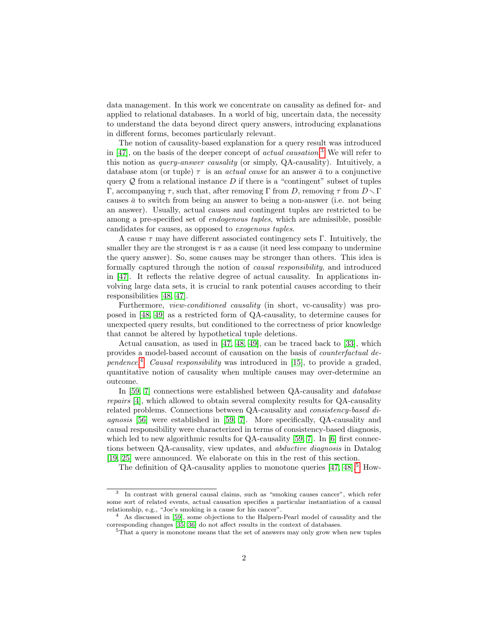data management. In this work we concentrate on causality as defined for- and applied to relational databases. In a world of big, uncertain data, the necessity to understand the data beyond direct query answers, introducing explanations in different forms, becomes particularly relevant.

The notion of causality-based explanation for a query result was introduced in  $[47]$ , on the basis of the deeper concept of *actual causation*.<sup>[3](#page-1-0)</sup> We will refer to this notion as query-answer causality (or simply, QA-causality). Intuitively, a database atom (or tuple)  $\tau$  is an *actual cause* for an answer  $\bar{a}$  to a conjunctive query  $Q$  from a relational instance  $D$  if there is a "contingent" subset of tuples Γ, accompanying τ, such that, after removing Γ from D, removing τ from  $D \setminus Γ$ causes  $\bar{a}$  to switch from being an answer to being a non-answer (i.e. not being an answer). Usually, actual causes and contingent tuples are restricted to be among a pre-specified set of endogenous tuples, which are admissible, possible candidates for causes, as opposed to exogenous tuples.

A cause  $\tau$  may have different associated contingency sets Γ. Intuitively, the smaller they are the strongest is  $\tau$  as a cause (it need less company to undermine the query answer). So, some causes may be stronger than others. This idea is formally captured through the notion of causal responsibility, and introduced in [\[47\]](#page-43-2). It reflects the relative degree of actual causality. In applications involving large data sets, it is crucial to rank potential causes according to their responsibilities [\[48,](#page-43-3) [47\]](#page-43-2).

Furthermore, view-conditioned causality (in short, vc-causality) was proposed in [\[48,](#page-43-3) [49\]](#page-43-4) as a restricted form of QA-causality, to determine causes for unexpected query results, but conditioned to the correctness of prior knowledge that cannot be altered by hypothetical tuple deletions.

Actual causation, as used in [\[47,](#page-43-2) [48,](#page-43-3) [49\]](#page-43-4), can be traced back to [\[33\]](#page-42-0), which provides a model-based account of causation on the basis of counterfactual de-pendence.<sup>[4](#page-1-1)</sup> Causal responsibility was introduced in [\[15\]](#page-41-0), to provide a graded, quantitative notion of causality when multiple causes may over-determine an outcome.

In [\[59,](#page-44-0) [7\]](#page-41-1) connections were established between QA-causality and *database* repairs [\[4\]](#page-40-0), which allowed to obtain several complexity results for QA-causality related problems. Connections between QA-causality and consistency-based diagnosis [\[56\]](#page-44-1) were established in [\[59,](#page-44-0) [7\]](#page-41-1). More specifically, QA-causality and causal responsibility were characterized in terms of consistency-based diagnosis, which led to new algorithmic results for QA-causality [\[59,](#page-44-0) [7\]](#page-41-1). In [\[6\]](#page-41-2) first connections between QA-causality, view updates, and abductive diagnosis in Datalog [\[19,](#page-41-3) [25\]](#page-42-1) were announced. We elaborate on this in the rest of this section.

The definition of QA-causality applies to monotone queries  $[47, 48]$  $[47, 48]$ .<sup>[5](#page-1-2)</sup> How-

<span id="page-1-0"></span><sup>3</sup> In contrast with general causal claims, such as "smoking causes cancer", which refer some sort of related events, actual causation specifies a particular instantiation of a causal relationship, e.g., "Joe's smoking is a cause for his cancer".

<span id="page-1-1"></span><sup>&</sup>lt;sup>4</sup> As discussed in [\[59\]](#page-44-0), some objections to the Halpern-Pearl model of causality and the corresponding changes [\[35,](#page-43-5) [36\]](#page-43-6) do not affect results in the context of databases.

<span id="page-1-2"></span><sup>&</sup>lt;sup>5</sup>That a query is monotone means that the set of answers may only grow when new tuples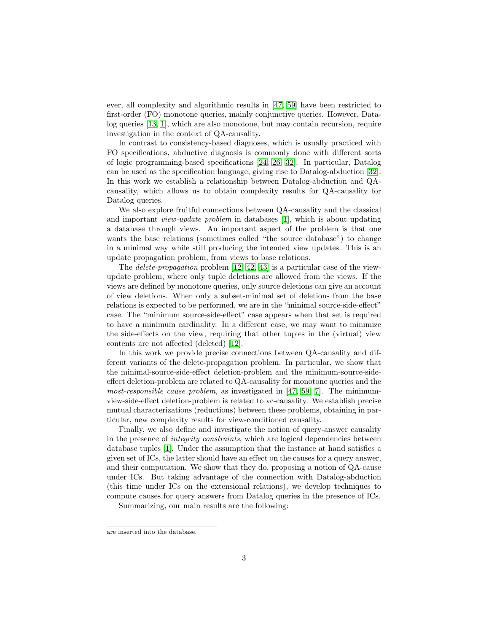ever, all complexity and algorithmic results in [\[47,](#page-43-2) [59\]](#page-44-0) have been restricted to first-order (FO) monotone queries, mainly conjunctive queries. However, Datalog queries [\[13,](#page-41-4) [1\]](#page-40-1), which are also monotone, but may contain recursion, require investigation in the context of QA-causality.

In contrast to consistency-based diagnoses, which is usually practiced with FO specifications, abductive diagnosis is commonly done with different sorts of logic programming-based specifications [\[24,](#page-42-2) [26,](#page-42-3) [32\]](#page-42-4). In particular, Datalog can be used as the specification language, giving rise to Datalog-abduction [\[32\]](#page-42-4). In this work we establish a relationship between Datalog-abduction and QAcausality, which allows us to obtain complexity results for QA-causality for Datalog queries.

We also explore fruitful connections between QA-causality and the classical and important view-update problem in databases [\[1\]](#page-40-1), which is about updating a database through views. An important aspect of the problem is that one wants the base relations (sometimes called "the source database") to change in a minimal way while still producing the intended view updates. This is an update propagation problem, from views to base relations.

The *delete-propagation* problem  $[12, 42, 43]$  $[12, 42, 43]$  $[12, 42, 43]$  is a particular case of the viewupdate problem, where only tuple deletions are allowed from the views. If the views are defined by monotone queries, only source deletions can give an account of view deletions. When only a subset-minimal set of deletions from the base relations is expected to be performed, we are in the "minimal source-side-effect" case. The "minimum source-side-effect" case appears when that set is required to have a minimum cardinality. In a different case, we may want to minimize the side-effects on the view, requiring that other tuples in the (virtual) view contents are not affected (deleted) [\[12\]](#page-41-5).

In this work we provide precise connections between QA-causality and different variants of the delete-propagation problem. In particular, we show that the minimal-source-side-effect deletion-problem and the minimum-source-sideeffect deletion-problem are related to QA-causality for monotone queries and the most-responsible cause problem, as investigated in [\[47,](#page-43-2) [59,](#page-44-0) [7\]](#page-41-1). The minimumview-side-effect deletion-problem is related to vc-causality. We establish precise mutual characterizations (reductions) between these problems, obtaining in particular, new complexity results for view-conditioned causality.

Finally, we also define and investigate the notion of query-answer causality in the presence of integrity constraints, which are logical dependencies between database tuples [\[1\]](#page-40-1). Under the assumption that the instance at hand satisfies a given set of ICs, the latter should have an effect on the causes for a query answer, and their computation. We show that they do, proposing a notion of QA-cause under ICs. But taking advantage of the connection with Datalog-abduction (this time under ICs on the extensional relations), we develop techniques to compute causes for query answers from Datalog queries in the presence of ICs.

Summarizing, our main results are the following:

are inserted into the database.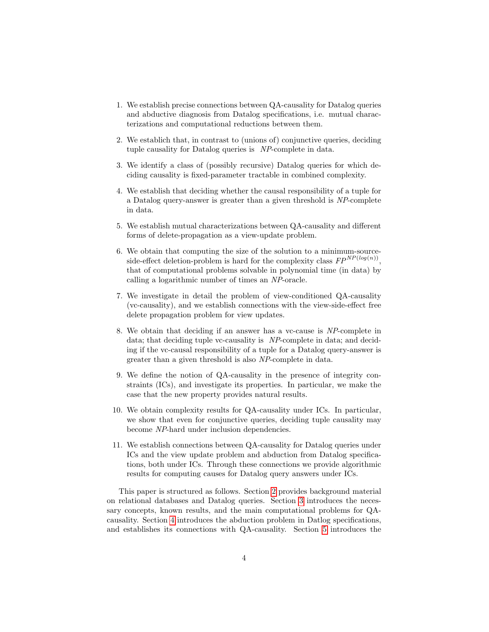- 1. We establish precise connections between QA-causality for Datalog queries and abductive diagnosis from Datalog specifications, i.e. mutual characterizations and computational reductions between them.
- 2. We establich that, in contrast to (unions of) conjunctive queries, deciding tuple causality for Datalog queries is NP-complete in data.
- 3. We identify a class of (possibly recursive) Datalog queries for which deciding causality is fixed-parameter tractable in combined complexity.
- 4. We establish that deciding whether the causal responsibility of a tuple for a Datalog query-answer is greater than a given threshold is NP-complete in data.
- 5. We establish mutual characterizations between QA-causality and different forms of delete-propagation as a view-update problem.
- 6. We obtain that computing the size of the solution to a minimum-sourceside-effect deletion-problem is hard for the complexity class  $FP^{NP(log(n))}$ , that of computational problems solvable in polynomial time (in data) by calling a logarithmic number of times an NP-oracle.
- 7. We investigate in detail the problem of view-conditioned QA-causality (vc-causality), and we establish connections with the view-side-effect free delete propagation problem for view updates.
- 8. We obtain that deciding if an answer has a vc-cause is NP-complete in data; that deciding tuple vc-causality is NP-complete in data; and deciding if the vc-causal responsibility of a tuple for a Datalog query-answer is greater than a given threshold is also NP-complete in data.
- 9. We define the notion of QA-causality in the presence of integrity constraints (ICs), and investigate its properties. In particular, we make the case that the new property provides natural results.
- 10. We obtain complexity results for QA-causality under ICs. In particular, we show that even for conjunctive queries, deciding tuple causality may become NP-hard under inclusion dependencies.
- 11. We establish connections between QA-causality for Datalog queries under ICs and the view update problem and abduction from Datalog specifications, both under ICs. Through these connections we provide algorithmic results for computing causes for Datalog query answers under ICs.

This paper is structured as follows. Section [2](#page-4-0) provides background material on relational databases and Datalog queries. Section [3](#page-5-0) introduces the necessary concepts, known results, and the main computational problems for QAcausality. Section [4](#page-9-0) introduces the abduction problem in Datlog specifications, and establishes its connections with QA-causality. Section [5](#page-18-0) introduces the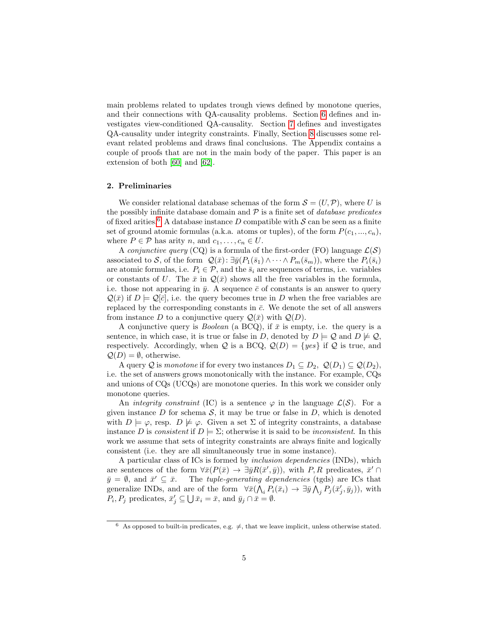main problems related to updates trough views defined by monotone queries, and their connections with QA-causality problems. Section [6](#page-25-0) defines and investigates view-conditioned QA-causality. Section [7](#page-30-0) defines and investigates QA-causality under integrity constraints. Finally, Section [8](#page-38-0) discusses some relevant related problems and draws final conclusions. The Appendix contains a couple of proofs that are not in the main body of the paper. This paper is an extension of both [\[60\]](#page-44-2) and [\[62\]](#page-44-3).

## <span id="page-4-0"></span>2. Preliminaries

We consider relational database schemas of the form  $\mathcal{S} = (U, \mathcal{P})$ , where U is the possibly infinite database domain and  $P$  is a finite set of *database predicates* of fixed arities.<sup>[6](#page-4-1)</sup> A database instance D compatible with  $S$  can be seen as a finite set of ground atomic formulas (a.k.a. atoms or tuples), of the form  $P(c_1, ..., c_n)$ , where  $P \in \mathcal{P}$  has arity n, and  $c_1, \ldots, c_n \in U$ .

A conjunctive query (CQ) is a formula of the first-order (FO) language  $\mathcal{L}(\mathcal{S})$ associated to S, of the form  $\mathcal{Q}(\bar{x})$ :  $\exists \bar{y}(P_1(\bar{s}_1) \wedge \cdots \wedge P_m(\bar{s}_m))$ , where the  $P_i(\bar{s}_i)$ are atomic formulas, i.e.  $P_i \in \mathcal{P}$ , and the  $\bar{s}_i$  are sequences of terms, i.e. variables or constants of U. The  $\bar{x}$  in  $\mathcal{Q}(\bar{x})$  shows all the free variables in the formula, i.e. those not appearing in  $\bar{y}$ . A sequence  $\bar{c}$  of constants is an answer to query  $\mathcal{Q}(\bar{x})$  if  $D \models \mathcal{Q}[\bar{c}]$ , i.e. the query becomes true in D when the free variables are replaced by the corresponding constants in  $\bar{c}$ . We denote the set of all answers from instance D to a conjunctive query  $\mathcal{Q}(\bar{x})$  with  $\mathcal{Q}(D)$ .

A conjunctive query is *Boolean* (a BCQ), if  $\bar{x}$  is empty, i.e. the query is a sentence, in which case, it is true or false in D, denoted by  $D \models Q$  and  $D \not\models Q$ , respectively. Accordingly, when Q is a BCQ,  $Q(D) = \{yes\}$  if Q is true, and  $Q(D) = \emptyset$ , otherwise.

A query Q is monotone if for every two instances  $D_1 \subseteq D_2$ ,  $\mathcal{Q}(D_1) \subseteq \mathcal{Q}(D_2)$ , i.e. the set of answers grows monotonically with the instance. For example, CQs and unions of CQs (UCQs) are monotone queries. In this work we consider only monotone queries.

An *integrity constraint* (IC) is a sentence  $\varphi$  in the language  $\mathcal{L}(\mathcal{S})$ . For a given instance  $D$  for schema  $S$ , it may be true or false in  $D$ , which is denoted with  $D \models \varphi$ , resp.  $D \not\models \varphi$ . Given a set  $\Sigma$  of integrity constraints, a database instance D is consistent if  $D \models \Sigma$ ; otherwise it is said to be *inconsistent*. In this work we assume that sets of integrity constraints are always finite and logically consistent (i.e. they are all simultaneously true in some instance).

A particular class of ICs is formed by inclusion dependencies (INDs), which are sentences of the form  $\forall \bar{x}(P(\bar{x}) \rightarrow \exists \bar{y}R(\bar{x}', \bar{y}))$ , with P, R predicates,  $\bar{x}' \cap$  $\bar{y} = \emptyset$ , and  $\bar{x}' \subseteq \bar{x}$ . The *tuple-generating dependencies* (tgds) are ICs that generalize INDs, and are of the form  $\forall \bar{x} (\bigwedge_i P_i(\bar{x}_i) \to \exists \bar{y} \bigwedge_j P_j(\bar{x}'_j, \bar{y}_j))$ , with  $P_i, P_j$  predicates,  $\bar{x}'_j \subseteq \bigcup \bar{x}_i = \bar{x}$ , and  $\bar{y}_j \cap \bar{x} = \emptyset$ .

<span id="page-4-1"></span><sup>&</sup>lt;sup>6</sup> As opposed to built-in predicates, e.g.  $\neq$ , that we leave implicit, unless otherwise stated.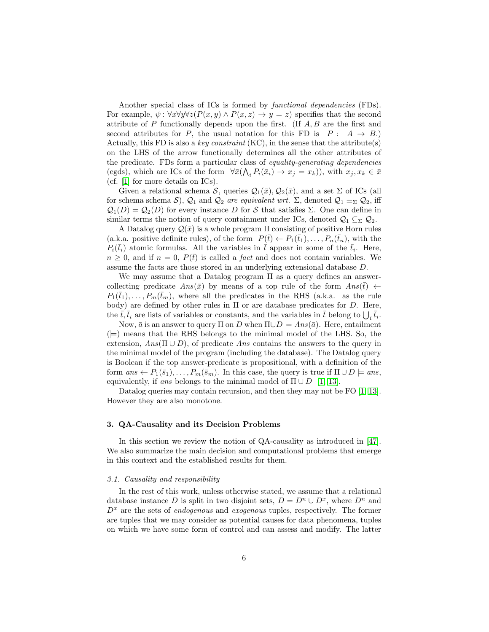Another special class of ICs is formed by *functional dependencies* (FDs). For example,  $\psi$ :  $\forall x \forall y \forall z (P(x, y) \land P(x, z) \rightarrow y = z)$  specifies that the second attribute of P functionally depends upon the first. (If  $A, B$  are the first and second attributes for P, the usual notation for this FD is  $P: A \rightarrow B$ .) Actually, this FD is also a key constraint  $(KC)$ , in the sense that the attribute(s) on the LHS of the arrow functionally determines all the other attributes of the predicate. FDs form a particular class of equality-generating dependencies (egds), which are ICs of the form  $\forall \bar{x} (\bigwedge_i P_i(\bar{x}_i) \to x_j = x_k)$ ), with  $x_j, x_k \in \bar{x}$ (cf. [\[1\]](#page-40-1) for more details on ICs).

Given a relational schema S, queries  $\mathcal{Q}_1(\bar{x}), \mathcal{Q}_2(\bar{x}),$  and a set  $\Sigma$  of ICs (all for schema schema S),  $\mathcal{Q}_1$  and  $\mathcal{Q}_2$  are equivalent wrt.  $\Sigma$ , denoted  $\mathcal{Q}_1 \equiv_{\Sigma} \mathcal{Q}_2$ , iff  $\mathcal{Q}_1(D) = \mathcal{Q}_2(D)$  for every instance D for S that satisfies  $\Sigma$ . One can define in similar terms the notion of query containment under ICs, denoted  $\mathcal{Q}_1 \subseteq_{\Sigma} \mathcal{Q}_2$ .

A Datalog query  $\mathcal{Q}(\bar{x})$  is a whole program  $\Pi$  consisting of positive Horn rules (a.k.a. positive definite rules), of the form  $P(\bar{t}) \leftarrow P_1(\bar{t}_1), \ldots, P_n(\bar{t}_n)$ , with the  $P_i(\bar{t}_i)$  atomic formulas. All the variables in  $\bar{t}$  appear in some of the  $\bar{t}_i$ . Here,  $n \geq 0$ , and if  $n = 0$ ,  $P(\bar{t})$  is called a *fact* and does not contain variables. We assume the facts are those stored in an underlying extensional database D.

We may assume that a Datalog program  $\Pi$  as a query defines an answercollecting predicate  $Ans(\bar{x})$  by means of a top rule of the form  $Ans(\bar{t}) \leftarrow$  $P_1(\bar{t}_1), \ldots, P_m(\bar{t}_m)$ , where all the predicates in the RHS (a.k.a. as the rule body) are defined by other rules in  $\Pi$  or are database predicates for  $D$ . Here, the  $\bar{t}, \bar{t}_i$  are lists of variables or constants, and the variables in  $\bar{t}$  belong to  $\bigcup_i \bar{t}_i$ .

Now,  $\bar{a}$  is an answer to query  $\Pi$  on D when  $\Pi \cup D \models Ans(\bar{a})$ . Here, entailment  $(\models)$  means that the RHS belongs to the minimal model of the LHS. So, the extension,  $Ans(\Pi \cup D)$ , of predicate Ans contains the answers to the query in the minimal model of the program (including the database). The Datalog query is Boolean if the top answer-predicate is propositional, with a definition of the form  $ans \leftarrow P_1(\bar{s}_1), \ldots, P_m(\bar{s}_m)$ . In this case, the query is true if  $\Pi \cup D \models ans$ , equivalently, if ans belongs to the minimal model of  $\Pi \cup D$  [\[1,](#page-40-1) [13\]](#page-41-4).

Datalog queries may contain recursion, and then they may not be FO [\[1,](#page-40-1) [13\]](#page-41-4). However they are also monotone.

## <span id="page-5-0"></span>3. QA-Causality and its Decision Problems

In this section we review the notion of QA-causality as introduced in [\[47\]](#page-43-2). We also summarize the main decision and computational problems that emerge in this context and the established results for them.

## <span id="page-5-1"></span>3.1. Causality and responsibility

In the rest of this work, unless otherwise stated, we assume that a relational database instance D is split in two disjoint sets,  $D = D^n \cup D^x$ , where  $D^n$  and  $D<sup>x</sup>$  are the sets of *endogenous* and *exogenous* tuples, respectively. The former are tuples that we may consider as potential causes for data phenomena, tuples on which we have some form of control and can assess and modify. The latter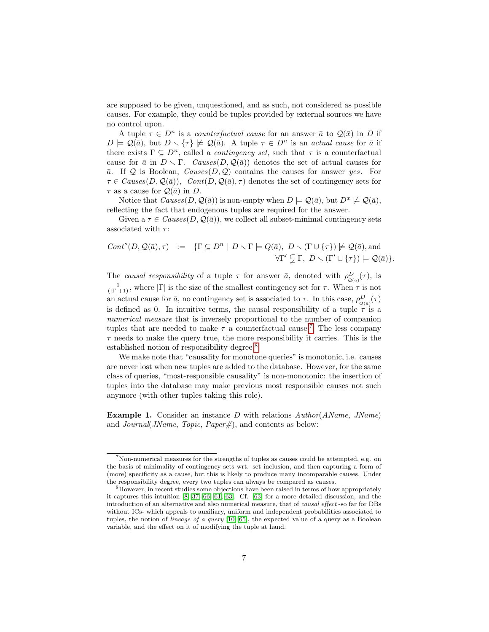are supposed to be given, unquestioned, and as such, not considered as possible causes. For example, they could be tuples provided by external sources we have no control upon.

A tuple  $\tau \in D^n$  is a counterfactual cause for an answer  $\bar{a}$  to  $\mathcal{Q}(\bar{x})$  in D if  $D \models \mathcal{Q}(\bar{a})$ , but  $D \setminus {\lbrace \tau \rbrace} \not\models \mathcal{Q}(\bar{a})$ . A tuple  $\tau \in D^n$  is an actual cause for  $\bar{a}$  if there exists  $\Gamma \subseteq D^n$ , called a *contingency set*, such that  $\tau$  is a counterfactual cause for  $\bar{a}$  in  $D \setminus \Gamma$ . Causes( $D, \mathcal{Q}(\bar{a})$ ) denotes the set of actual causes for  $\bar{a}$ . If Q is Boolean, Causes(D, Q) contains the causes for answer yes. For  $\tau \in \text{Causes}(D, \mathcal{Q}(\bar{a}))$ ,  $Cont(D, \mathcal{Q}(\bar{a}), \tau)$  denotes the set of contingency sets for  $\tau$  as a cause for  $\mathcal{Q}(\bar{a})$  in D.

Notice that  $Causes(D, \mathcal{Q}(\bar{a}))$  is non-empty when  $D \models \mathcal{Q}(\bar{a})$ , but  $D^x \not\models \mathcal{Q}(\bar{a})$ , reflecting the fact that endogenous tuples are required for the answer.

Given a  $\tau \in \text{Causes}(D, \mathcal{Q}(\bar{a}))$ , we collect all subset-minimal contingency sets associated with  $\tau$ :

<span id="page-6-2"></span>
$$
Cont^s(D, \mathcal{Q}(\bar{a}), \tau) := \{ \Gamma \subseteq D^n \mid D \setminus \Gamma \models Q(\bar{a}), D \setminus (\Gamma \cup \{\tau\}) \not\models \mathcal{Q}(\bar{a}), \text{and} \ \forall \Gamma' \subsetneqq \Gamma, D \setminus (\Gamma' \cup \{\tau\}) \models \mathcal{Q}(\bar{a}) \}.
$$

The causal responsibility of a tuple  $\tau$  for answer  $\bar{a}$ , denoted with  $\rho_{\mathcal{Q}(\bar{a})}^D(\tau)$ , is  $\frac{1}{(|\Gamma|+1)}$ , where  $|\Gamma|$  is the size of the smallest contingency set for  $\tau$ . When  $\tau$  is not an actual cause for  $\bar{a}$ , no contingency set is associated to  $\tau$ . In this case,  $\rho_{\mathcal{Q}(\bar{a})}^D(\tau)$ is defined as 0. In intuitive terms, the causal responsibility of a tuple  $\tau$  is a numerical measure that is inversely proportional to the number of companion tuples that are needed to make  $\tau$  a counterfactual cause.<sup>[7](#page-6-0)</sup> The less company  $\tau$  needs to make the query true, the more responsibility it carries. This is the established notion of responsibility degree.<sup>[8](#page-6-1)</sup>

We make note that "causality for monotone queries" is monotonic, i.e. causes are never lost when new tuples are added to the database. However, for the same class of queries, "most-responsible causality" is non-monotonic: the insertion of tuples into the database may make previous most responsible causes not such anymore (with other tuples taking this role).

<span id="page-6-3"></span>Example 1. Consider an instance D with relations  $Author(AName, JName)$ and *Journal*(*JName, Topic, Paper#*), and contents as below:

<span id="page-6-0"></span><sup>7</sup>Non-numerical measures for the strengths of tuples as causes could be attempted, e.g. on the basis of minimality of contingency sets wrt. set inclusion, and then capturing a form of (more) specificity as a cause, but this is likely to produce many incomparable causes. Under the responsibility degree, every two tuples can always be compared as causes.

<span id="page-6-1"></span><sup>&</sup>lt;sup>8</sup>However, in recent studies some objections have been raised in terms of how appropriately it captures this intuition [\[8,](#page-41-6) [37,](#page-43-9) [66,](#page-44-4) [61,](#page-44-5) [63\]](#page-44-6). Cf. [\[63\]](#page-44-6) for a more detailed discussion, and the introduction of an alternative and also numerical measure, that of causal effect -so far for DBs without ICs- which appeals to auxiliary, uniform and independent probabilities associated to tuples, the notion of *lineage of a query* [\[10,](#page-41-7) [65\]](#page-44-7), the expected value of a query as a Boolean variable, and the effect on it of modifying the tuple at hand.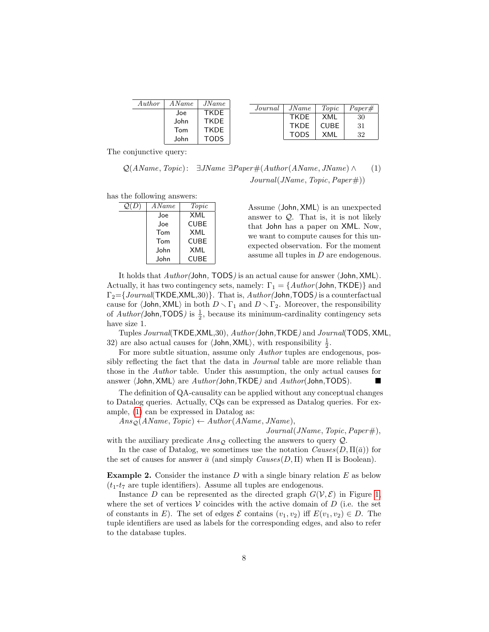| Author | A Name | JName       |
|--------|--------|-------------|
|        | Joe    | <b>TKDE</b> |
|        | John   | <b>TKDF</b> |
|        | Tom    | <b>TKDF</b> |
|        | John   | <b>TODS</b> |

| Journal | JName       | Topic       | $Paper\#$ |
|---------|-------------|-------------|-----------|
|         | <b>TKDE</b> | XMI         | 30        |
|         | <b>TKDE</b> | <b>CUBE</b> | -31       |
|         | <b>TODS</b> | XMI         | 32        |

The conjunctive query:

 $Q(AName, Topic): \exists JName \exists Paper\#(Author(AName, JName) \wedge$  (1)  $Journal(JName, Topic, Paper#))$ 

has the following answers:

| $\mathcal{Q}(D)$ | A Name | Topic       |
|------------------|--------|-------------|
|                  | Joe    | XML         |
|                  | Joe    | <b>CUBE</b> |
|                  | Tom    | XMI         |
|                  | Tom    | <b>CUBE</b> |
|                  | John   | XMI         |
|                  | John   | CUBE        |

Assume  $\langle$  John, XML $\rangle$  is an unexpected answer to  $Q$ . That is, it is not likely that John has a paper on XML. Now, we want to compute causes for this unexpected observation. For the moment assume all tuples in D are endogenous.

It holds that  $Author/John$ , TODS) is an actual cause for answer  $\langle John, XML \rangle$ . Actually, it has two contingency sets, namely:  $\Gamma_1 = \{Author(John, TKDE)\}$  and  $\Gamma_2 = \{Journal(TKDE, XML,30)\}.$  That is,  $Author(John, TODS)$  is a counterfactual cause for  $\langle$ John, XML $\rangle$  in both  $D \setminus \Gamma_1$  and  $D \setminus \Gamma_2$ . Moreover, the responsibility of  $Author(John, TODS)$  is  $\frac{1}{2}$ , because its minimum-cardinality contingency sets have size 1.

Tuples Journal(TKDE,XML,30), Author(John,TKDE) and Journal(TODS, XML, 32) are also actual causes for  $\langle$  John, XML $\rangle$ , with responsibility  $\frac{1}{2}$ .

For more subtle situation, assume only Author tuples are endogenous, possibly reflecting the fact that the data in Journal table are more reliable than those in the Author table. Under this assumption, the only actual causes for answer  $\langle$ John, XML $\rangle$  are  $Author(John,TKDE)$  and  $Author(John,TODS)$ .

The definition of QA-causality can be applied without any conceptual changes to Datalog queries. Actually, CQs can be expressed as Datalog queries. For example, [\(1\)](#page-6-2) can be expressed in Datalog as:

 $Ans_{\mathcal{Q}}(AName, Topic) \leftarrow Author(AName, JName),$ 

 $Journal (JName, Topic, Paper#),$ 

with the auxiliary predicate  $Ans<sub>Q</sub>$  collecting the answers to query Q.

In the case of Datalog, we sometimes use the notation  $Causes(D, \Pi(\bar{a}))$  for the set of causes for answer  $\bar{a}$  (and simply  $Causes(D, \Pi)$  when  $\Pi$  is Boolean).

**Example 2.** Consider the instance D with a single binary relation  $E$  as below  $(t_1-t_7)$  are tuple identifiers). Assume all tuples are endogenous.

Instance D can be represented as the directed graph  $G(V, \mathcal{E})$  in Figure [1,](#page-8-0) where the set of vertices  $V$  coincides with the active domain of  $D$  (i.e. the set of constants in E). The set of edges  $\mathcal E$  contains  $(v_1, v_2)$  iff  $E(v_1, v_2) \in D$ . The tuple identifiers are used as labels for the corresponding edges, and also to refer to the database tuples.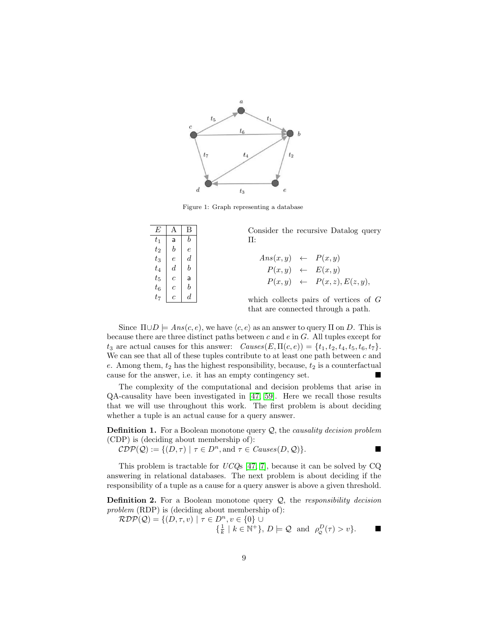

<span id="page-8-0"></span>Figure 1: Graph representing a database

| E | Α                                                                                                                                                         | В | Consider the recursive Datalog query    |
|---|-----------------------------------------------------------------------------------------------------------------------------------------------------------|---|-----------------------------------------|
|   |                                                                                                                                                           |   | Π:                                      |
|   |                                                                                                                                                           |   |                                         |
|   |                                                                                                                                                           |   | $Ans(x, y) \leftarrow P(x, y)$          |
|   | $\begin{array}{c cc} t_1 & \textsf{a} & b \\ t_2 & b & e \\ t_3 & e & d \\ t_4 & d & b \\ t_5 & c & \textsf{a} \\ t_6 & c & b \\ t_7 & c & d \end{array}$ |   | $P(x, y) \leftarrow E(x, y)$            |
|   |                                                                                                                                                           |   | $P(x, y) \leftarrow P(x, z), E(z, y),$  |
|   |                                                                                                                                                           |   |                                         |
|   |                                                                                                                                                           |   | which collects pairs of vertices of $G$ |
|   |                                                                                                                                                           |   | that are connected through a path.      |

Since  $\Pi \cup D = Ans(c, e)$ , we have  $\langle c, e \rangle$  as an answer to query  $\Pi$  on D. This is because there are three distinct paths between  $c$  and  $e$  in  $G$ . All tuples except for  $t_3$  are actual causes for this answer:  $Causes(E, \Pi(c, e)) = \{t_1, t_2, t_4, t_5, t_6, t_7\}.$ We can see that all of these tuples contribute to at least one path between  $c$  and e. Among them,  $t_2$  has the highest responsibility, because,  $t_2$  is a counterfactual cause for the answer, i.e. it has an empty contingency set.

The complexity of the computational and decision problems that arise in QA-causality have been investigated in [\[47,](#page-43-2) [59\]](#page-44-0). Here we recall those results that we will use throughout this work. The first problem is about deciding whether a tuple is an actual cause for a query answer.

**Definition 1.** For a Boolean monotone query  $Q$ , the *causality decision problem* (CDP) is (deciding about membership of):

 $\mathcal{CDP}(\mathcal{Q}) := \{ (D, \tau) \mid \tau \in D^n, \text{and } \tau \in \mathit{Causes}(D, \mathcal{Q}) \}.$ 

<span id="page-8-1"></span>

This problem is tractable for  $UCQs$  [\[47,](#page-43-2) [7\]](#page-41-1), because it can be solved by CQ answering in relational databases. The next problem is about deciding if the responsibility of a tuple as a cause for a query answer is above a given threshold.

**Definition 2.** For a Boolean monotone query  $Q$ , the responsibility decision problem (RDP) is (deciding about membership of):

 $\mathcal{RDP}(\mathcal{Q}) = \{(D, \tau, v) \mid \tau \in D^n, v \in \{0\} \cup$  $\{\frac{1}{k} \mid k \in \mathbb{N}^+\}, D \models \mathcal{Q} \text{ and } \rho_{\mathcal{Q}}^D(\tau) > v\}.$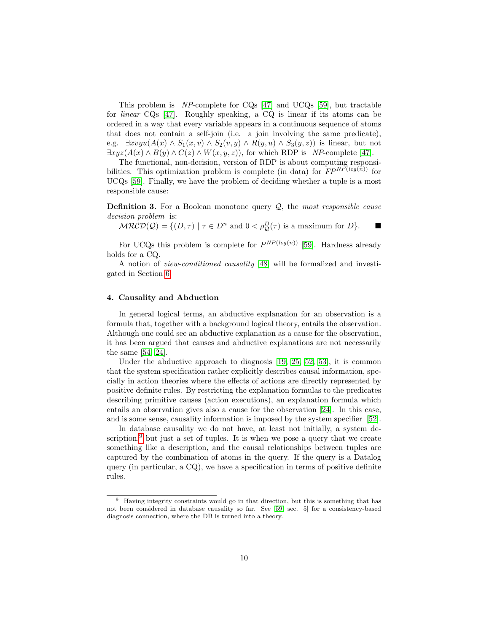This problem is NP-complete for CQs [\[47\]](#page-43-2) and UCQs [\[59\]](#page-44-0), but tractable for linear CQs [\[47\]](#page-43-2). Roughly speaking, a CQ is linear if its atoms can be ordered in a way that every variable appears in a continuous sequence of atoms that does not contain a self-join (i.e. a join involving the same predicate), e.g.  $\exists x v y u (A(x) \wedge S_1(x, v) \wedge S_2(v, y) \wedge R(y, u) \wedge S_3(y, z))$  is linear, but not  $\exists xyz(A(x) \wedge B(y) \wedge C(z) \wedge W(x, y, z))$ , for which RDP is NP-complete [\[47\]](#page-43-2).

The functional, non-decision, version of RDP is about computing responsibilities. This optimization problem is complete (in data) for  $FP^{NP(log(n))}$  for UCQs [\[59\]](#page-44-0). Finally, we have the problem of deciding whether a tuple is a most responsible cause:

**Definition 3.** For a Boolean monotone query  $Q$ , the most responsible cause decision problem is:

<span id="page-9-2"></span> $MRCD(Q) = \{(D, \tau) \mid \tau \in D^n \text{ and } 0 < \rho^D_Q(\tau) \text{ is a maximum for } D\}.$ 

For UCQs this problem is complete for  $P^{NP(log(n))}$  [\[59\]](#page-44-0). Hardness already holds for a CQ.

A notion of view-conditioned causality [\[48\]](#page-43-3) will be formalized and investigated in Section [6.](#page-25-0)

## <span id="page-9-0"></span>4. Causality and Abduction

In general logical terms, an abductive explanation for an observation is a formula that, together with a background logical theory, entails the observation. Although one could see an abductive explanation as a cause for the observation, it has been argued that causes and abductive explanations are not necessarily the same [\[54,](#page-44-8) [24\]](#page-42-2).

Under the abductive approach to diagnosis [\[19,](#page-41-3) [25,](#page-42-1) [52,](#page-44-9) [53\]](#page-44-10), it is common that the system specification rather explicitly describes causal information, specially in action theories where the effects of actions are directly represented by positive definite rules. By restricting the explanation formulas to the predicates describing primitive causes (action executions), an explanation formula which entails an observation gives also a cause for the observation [\[24\]](#page-42-2). In this case, and is some sense, causality information is imposed by the system specifier [\[52\]](#page-44-9).

In database causality we do not have, at least not initially, a system description, $9$  but just a set of tuples. It is when we pose a query that we create something like a description, and the causal relationships between tuples are captured by the combination of atoms in the query. If the query is a Datalog query (in particular, a CQ), we have a specification in terms of positive definite rules.

<span id="page-9-1"></span><sup>9</sup> Having integrity constraints would go in that direction, but this is something that has not been considered in database causality so far. See [\[59,](#page-44-0) sec. 5] for a consistency-based diagnosis connection, where the DB is turned into a theory.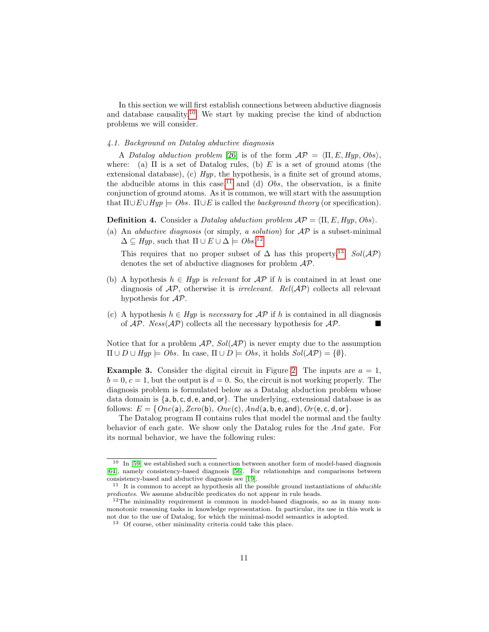In this section we will first establish connections between abductive diagnosis and database causality.[10](#page-10-0) We start by making precise the kind of abduction problems we will consider.

#### <span id="page-10-6"></span>4.1. Background on Datalog abductive diagnosis

A Datalog abduction problem [\[26\]](#page-42-3) is of the form  $\mathcal{AP} = \langle \Pi, E, Hyp, Obs \rangle$ . where: (a)  $\Pi$  is a set of Datalog rules, (b)  $E$  is a set of ground atoms (the extensional database), (c)  $Hyp$ , the hypothesis, is a finite set of ground atoms, the abducible atoms in this case,<sup>[11](#page-10-1)</sup> and (d)  $Obs$ , the observation, is a finite conjunction of ground atoms. As it is common, we will start with the assumption that  $\Pi \cup E \cup Hyp \models Obs. \Pi \cup E$  is called the background theory (or specification).

<span id="page-10-4"></span>**Definition 4.** Consider a Datalog abduction problem  $AP = \langle \Pi, E, Hyp, Obs \rangle$ .

(a) An *abductive diagnosis* (or simply, a *solution*) for  $AP$  is a subset-minimal  $\Delta \subseteq Hyp$ , such that  $\Pi \cup E \cup \Delta \models Obs.^{12}$  $\Pi \cup E \cup \Delta \models Obs.^{12}$  $\Pi \cup E \cup \Delta \models Obs.^{12}$ 

This requires that no proper subset of  $\Delta$  has this property.<sup>[13](#page-10-3)</sup> Sol( $\mathcal{AP}$ ) denotes the set of abductive diagnoses for problem AP.

- (b) A hypothesis  $h \in Hypi$  is relevant for  $\mathcal{AP}$  if h is contained in at least one diagnosis of  $AP$ , otherwise it is *irrelevant.* Rel( $AP$ ) collects all relevant hypothesis for AP.
- (c) A hypothesis  $h \in Hyp$  is necessary for  $\mathcal{AP}$  if h is contained in all diagnosis of  $AP$ .  $Ness(\mathcal{AP})$  collects all the necessary hypothesis for  $AP$ .

Notice that for a problem  $\mathcal{AP}$ ,  $Sol(\mathcal{AP})$  is never empty due to the assumption  $\Pi \cup D \cup Hyp \models Obs.$  In case,  $\Pi \cup D \models Obs$ , it holds  $Sol(\mathcal{AP}) = \{\emptyset\}.$ 

<span id="page-10-5"></span>**Example 3.** Consider the digital circuit in Figure [2.](#page-11-0) The inputs are  $a = 1$ ,  $b = 0, c = 1$ , but the output is  $d = 0$ . So, the circuit is not working properly. The diagnosis problem is formulated below as a Datalog abduction problem whose data domain is {a, b, c, d, e, and, or}. The underlying, extensional database is as follows:  $E = \{One(a), Zero(b), One(c), And(a, b, e, and), Or(e, c, d, or\}.$ 

The Datalog program Π contains rules that model the normal and the faulty behavior of each gate. We show only the Datalog rules for the And gate. For its normal behavior, we have the following rules:

<span id="page-10-0"></span> $10$  In [\[59\]](#page-44-0) we established such a connection between another form of model-based diagnosis [\[64\]](#page-44-11), namely consistency-based diagnosis [\[56\]](#page-44-1). For relationships and comparisons between consistency-based and abductive diagnosis see [\[19\]](#page-41-3).

<span id="page-10-1"></span> $11$  It is common to accept as hypothesis all the possible ground instantiations of *abducible* predicates. We assume abducible predicates do not appear in rule heads.

<span id="page-10-2"></span><sup>&</sup>lt;sup>12</sup>The minimality requirement is common in model-based diagnosis, so as in many nonmonotonic reasoning tasks in knowledge representation. In particular, its use in this work is not due to the use of Datalog, for which the minimal-model semantics is adopted.

<span id="page-10-3"></span><sup>13</sup> Of course, other minimality criteria could take this place.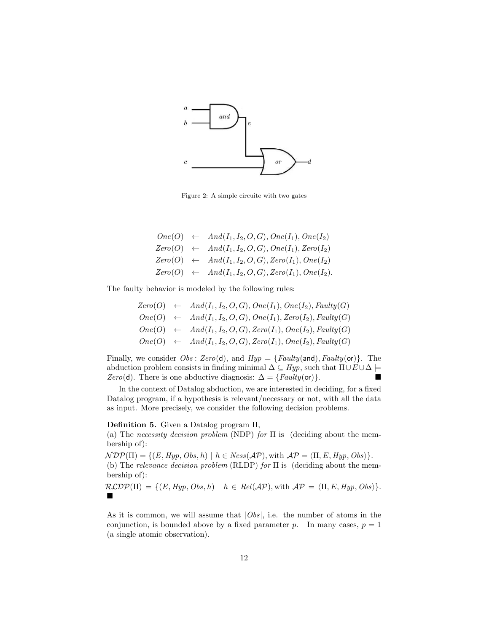

<span id="page-11-0"></span>Figure 2: A simple circuite with two gates

|  | $One(O) \leftarrow And(I_1, I_2, O, G), One(I_1), One(I_2)$    |
|--|----------------------------------------------------------------|
|  | $Zero(O) \leftarrow And(I_1, I_2, O, G), One(I_1), Zero(I_2)$  |
|  | $Zero(O) \leftarrow And(I_1, I_2, O, G), Zero(I_1), One(I_2)$  |
|  | $Zero(O) \leftarrow And(I_1, I_2, O, G), Zero(I_1), One(I_2).$ |

The faulty behavior is modeled by the following rules:

$$
Zero(O) \leftarrow And(I_1, I_2, O, G), One(I_1), One(I_2), Faulty(G)
$$
  
\n
$$
One(O) \leftarrow And(I_1, I_2, O, G), One(I_1), Zero(I_2), Faulty(G)
$$
  
\n
$$
One(O) \leftarrow And(I_1, I_2, O, G), Zero(I_1), One(I_2), Faulty(G)
$$
  
\n
$$
One(O) \leftarrow And(I_1, I_2, O, G), Zero(I_1), One(I_2), Faulty(G)
$$

Finally, we consider  $Obs: Zero(d)$ , and  $Hyp = \{Faulty(\text{and}), Faulty(\text{or})\}$ . The abduction problem consists in finding minimal  $\Delta \subseteq Hyp$ , such that  $\Pi \cup E \cup \Delta \models$  $Zero(d)$ . There is one abductive diagnosis:  $\Delta = \{Faulty(\mathsf{or})\}$ . ■

In the context of Datalog abduction, we are interested in deciding, for a fixed Datalog program, if a hypothesis is relevant/necessary or not, with all the data as input. More precisely, we consider the following decision problems.

## Definition 5. Given a Datalog program Π,

(a) The necessity decision problem (NDP) for  $\Pi$  is (deciding about the membership of):

 $\mathcal{N} \mathcal{D} \mathcal{P}(\Pi) = \{ (E, Hyp, Obs, h) \mid h \in \mathit{Ness}(\mathcal{A} \mathcal{P}), \text{with } \mathcal{A} \mathcal{P} = \langle \Pi, E, Hyp, Obs \rangle \}.$ 

(b) The relevance decision problem (RLDP) for  $\Pi$  is (deciding about the membership of):

 $\mathcal{RLDP}(\Pi) = \{ (E, Hyp, Obs, h) \mid h \in Rel(\mathcal{AP}), \text{with } \mathcal{AP} = \langle \Pi, E, Hyp, Obs \rangle \}.$  $\blacksquare$ 

As it is common, we will assume that  $|Obs|$ , i.e. the number of atoms in the conjunction, is bounded above by a fixed parameter p. In many cases,  $p = 1$ (a single atomic observation).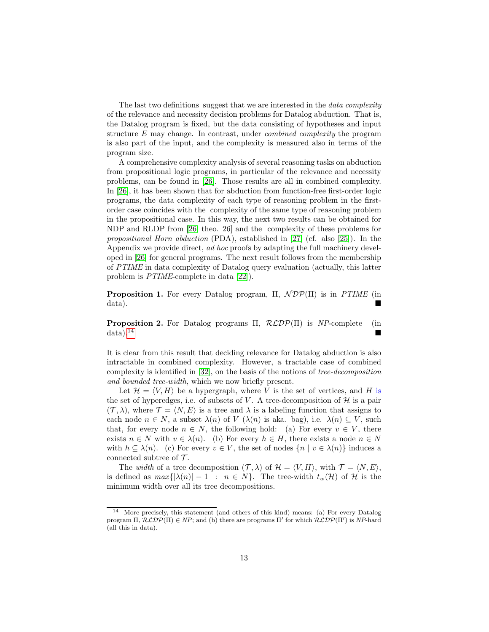The last two definitions suggest that we are interested in the *data complexity* of the relevance and necessity decision problems for Datalog abduction. That is, the Datalog program is fixed, but the data consisting of hypotheses and input structure E may change. In contrast, under combined complexity the program is also part of the input, and the complexity is measured also in terms of the program size.

A comprehensive complexity analysis of several reasoning tasks on abduction from propositional logic programs, in particular of the relevance and necessity problems, can be found in [\[26\]](#page-42-3). Those results are all in combined complexity. In [\[26\]](#page-42-3), it has been shown that for abduction from function-free first-order logic programs, the data complexity of each type of reasoning problem in the firstorder case coincides with the complexity of the same type of reasoning problem in the propositional case. In this way, the next two results can be obtained for NDP and RLDP from [\[26,](#page-42-3) theo. 26] and the complexity of these problems for propositional Horn abduction (PDA), established in [\[27\]](#page-42-5) (cf. also [\[25\]](#page-42-1)). In the Appendix we provide direct, ad hoc proofs by adapting the full machinery developed in [\[26\]](#page-42-3) for general programs. The next result follows from the membership of PTIME in data complexity of Datalog query evaluation (actually, this latter problem is PTIME-complete in data [\[22\]](#page-42-6)).

<span id="page-12-1"></span>**Proposition 1.** For every Datalog program,  $\Pi$ ,  $\mathcal{NDP}(\Pi)$  is in PTIME (in data).

<span id="page-12-2"></span>**Proposition 2.** For Datalog programs  $\Pi$ ,  $\mathcal{RLDP}(\Pi)$  is NP-complete (in  $data)$ .<sup>[14](#page-12-0)</sup>

It is clear from this result that deciding relevance for Datalog abduction is also intractable in combined complexity. However, a tractable case of combined complexity is identified in [\[32\]](#page-42-4), on the basis of the notions of tree-decomposition and bounded tree-width, which we now briefly present.

Let  $\mathcal{H} = \langle V, H \rangle$  be a hypergraph, where V is the set of vertices, and H is the set of hyperedges, i.e. of subsets of V. A tree-decomposition of  $\mathcal H$  is a pair  $(\mathcal{T}, \lambda)$ , where  $\mathcal{T} = \langle N, E \rangle$  is a tree and  $\lambda$  is a labeling function that assigns to each node  $n \in N$ , a subset  $\lambda(n)$  of  $V(\lambda(n))$  is aka. bag), i.e.  $\lambda(n) \subseteq V$ , such that, for every node  $n \in N$ , the following hold: (a) For every  $v \in V$ , there exists  $n \in N$  with  $v \in \lambda(n)$ . (b) For every  $h \in H$ , there exists a node  $n \in N$ with  $h \subseteq \lambda(n)$ . (c) For every  $v \in V$ , the set of nodes  $\{n \mid v \in \lambda(n)\}\$ induces a connected subtree of  $\mathcal{T}$ .

The width of a tree decomposition  $(\mathcal{T}, \lambda)$  of  $\mathcal{H} = \langle V, H \rangle$ , with  $\mathcal{T} = \langle N, E \rangle$ , is defined as  $max\{|\lambda(n)| - 1 : n \in N\}$ . The tree-width  $t_w(\mathcal{H})$  of  $\mathcal H$  is the minimum width over all its tree decompositions.

<span id="page-12-0"></span><sup>14</sup> More precisely, this statement (and others of this kind) means: (a) For every Datalog program  $\Pi$ ,  $\mathcal{RLDP}(\Pi) \in NP$ ; and (b) there are programs  $\Pi'$  for which  $\mathcal{RLDP}(\Pi')$  is  $NP$ -hard (all this in data).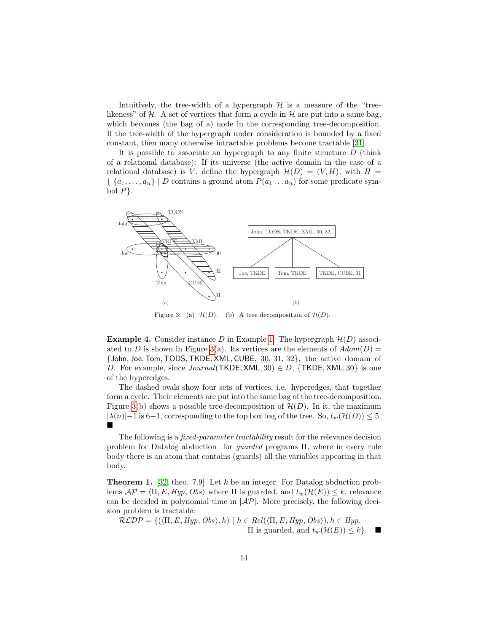Intuitively, the tree-width of a hypergraph  $H$  is a measure of the "treelikeness" of  $H$ . A set of vertices that form a cycle in  $H$  are put into a same bag, which becomes (the bag of a) node in the corresponding tree-decomposition. If the tree-width of the hypergraph under consideration is bounded by a fixed constant, then many otherwise intractable problems become tractable [\[31\]](#page-42-7).

It is possible to associate an hypergraph to any finite structure  $D$  (think of a relational database): If its universe (the active domain in the case of a relational database) is V, define the hypergraph  $\mathcal{H}(D) = (V, H)$ , with  $H =$  $\{ \{a_1, \ldots, a_n\} \mid D \text{ contains a ground atom } P(a_1 \ldots a_n) \text{ for some predicate sym$ bol  $P$ .



<span id="page-13-0"></span>Figure 3: (a)  $\mathcal{H}(D)$ . (b) A tree decomposition of  $\mathcal{H}(D)$ .

**Example 4.** Consider instance D in Example [1.](#page-6-3) The hypergraph  $\mathcal{H}(D)$  associ-ated to D is shown in Figure [3\(](#page-13-0)a). Its vertices are the elements of  $Adom(D)$  = {John, Joe,Tom,TODS,TKDE, XML, CUBE, 30, 31, 32}, the active domain of D. For example, since  $Journal(TKDE, XML, 30) \in D$ ,  ${TKDE, XML, 30}$  is one of the hyperedges.

The dashed ovals show four sets of vertices, i.e. hyperedges, that together form a cycle. Their elements are put into the same bag of the tree-decomposition. Figure [3\(](#page-13-0)b) shows a possible tree-decomposition of  $\mathcal{H}(D)$ . In it, the maximum  $|\lambda(n)|-1$  is 6−1, corresponding to the top box bag of the tree. So,  $t_w(\mathcal{H}(D)) \leq 5$ .  $\blacksquare$ 

The following is a *fixed-parameter tractability* result for the relevance decision problem for Datalog abduction for guarded programs Π, where in every rule body there is an atom that contains (guards) all the variables appearing in that body.

<span id="page-13-1"></span>**Theorem 1.** [\[32,](#page-42-4) theo. 7.9] Let  $k$  be an integer. For Datalog abduction problems  $\mathcal{AP} = \langle \Pi, E, Hyp, Obs \rangle$  where  $\Pi$  is guarded, and  $t_w(\mathcal{H}(E)) \leq k$ , relevance can be decided in polynomial time in  $|\mathcal{AP}|$ . More precisely, the following decision problem is tractable:

$$
\mathcal{RLDP} = \{ (\langle \Pi, E, Hyp, Obs \rangle, h) \mid h \in Rel(\langle \Pi, E, Hyp, Obs \rangle), h \in Hyp, \Pi \text{ is guarded, and } t_w(\mathcal{H}(E)) \leq k \}.
$$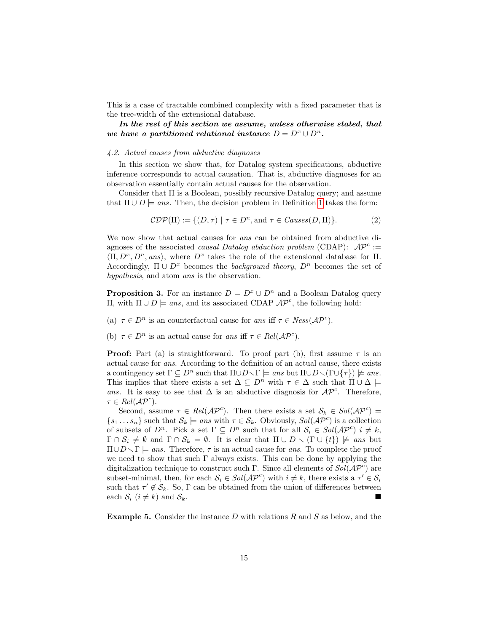This is a case of tractable combined complexity with a fixed parameter that is the tree-width of the extensional database.

In the rest of this section we assume, unless otherwise stated, that we have a partitioned relational instance  $D = D^x \cup D^n$ .

## 4.2. Actual causes from abductive diagnoses

In this section we show that, for Datalog system specifications, abductive inference corresponds to actual causation. That is, abductive diagnoses for an observation essentially contain actual causes for the observation.

Consider that  $\Pi$  is a Boolean, possibly recursive Datalog query; and assume that  $\Pi \cup D$  = ans. Then, the decision problem in Definition [1](#page-8-1) takes the form:

$$
\mathcal{CDP}(\Pi) := \{ (D, \tau) \mid \tau \in D^n, \text{and } \tau \in \mathit{Causes}(D, \Pi) \}. \tag{2}
$$

We now show that actual causes for *ans* can be obtained from abductive diagnoses of the associated *causal Datalog abduction problem* (CDAP):  $AP^c$  :=  $\langle \Pi, D^x, D^n, ans \rangle$ , where  $D^x$  takes the role of the extensional database for  $\Pi$ . Accordingly,  $\Pi \cup D^x$  becomes the background theory,  $D^n$  becomes the set of hypothesis, and atom ans is the observation.

<span id="page-14-1"></span>**Proposition 3.** For an instance  $D = D^x \cup D^n$  and a Boolean Datalog query  $\Pi$ , with  $\Pi ∪ D$   $\models$  ans, and its associated CDAP  $AP<sup>c</sup>$ , the following hold:

- (a)  $\tau \in D^n$  is an counterfactual cause for ans iff  $\tau \in Ness(\mathcal{AP}^c)$ .
- (b)  $\tau \in D^n$  is an actual cause for ans iff  $\tau \in Rel(\mathcal{AP}^c)$ .

**Proof:** Part (a) is straightforward. To proof part (b), first assume  $\tau$  is an actual cause for ans. According to the definition of an actual cause, there exists a contingency set  $\Gamma \subseteq D^n$  such that  $\Pi \cup D \setminus \Gamma \models ans$  but  $\Pi \cup D \setminus (\Gamma \cup \{\tau\}) \not\models ans$ . This implies that there exists a set  $\Delta \subseteq D^n$  with  $\tau \in \Delta$  such that  $\Pi \cup \Delta \models$ ans. It is easy to see that  $\Delta$  is an abductive diagnosis for  $\mathcal{AP}^c$ . Therefore,  $\tau \in Rel(\mathcal{AP}^c).$ 

Second, assume  $\tau \in Rel(\mathcal{AP}^c)$ . Then there exists a set  $\mathcal{S}_k \in Sol(\mathcal{AP}^c)$  $\{s_1 \dots s_n\}$  such that  $S_k \models ans$  with  $\tau \in S_k$ . Obviously,  $Sol(\mathcal{AP}^c)$  is a collection of subsets of  $D^n$ . Pick a set  $\Gamma \subseteq D^n$  such that for all  $\mathcal{S}_i \in Sol(\mathcal{AP}^c)$   $i \neq k$ ,  $\Gamma \cap \mathcal{S}_i \neq \emptyset$  and  $\Gamma \cap \mathcal{S}_k = \emptyset$ . It is clear that  $\Pi \cup D \setminus (\Gamma \cup \{t\}) \not\models \text{ans}$  but  $\Pi \cup D \setminus \Gamma \models ans.$  Therefore,  $\tau$  is an actual cause for ans. To complete the proof we need to show that such  $\Gamma$  always exists. This can be done by applying the digitalization technique to construct such Γ. Since all elements of  $Sol(\mathcal{AP}^c)$  are subset-minimal, then, for each  $S_i \in Sol(\mathcal{AP}^c)$  with  $i \neq k$ , there exists a  $\tau' \in S_i$ such that  $\tau' \notin \mathcal{S}_k$ . So,  $\Gamma$  can be obtained from the union of differences between each  $S_i$   $(i \neq k)$  and  $S_k$ .

<span id="page-14-0"></span>**Example 5.** Consider the instance  $D$  with relations  $R$  and  $S$  as below, and the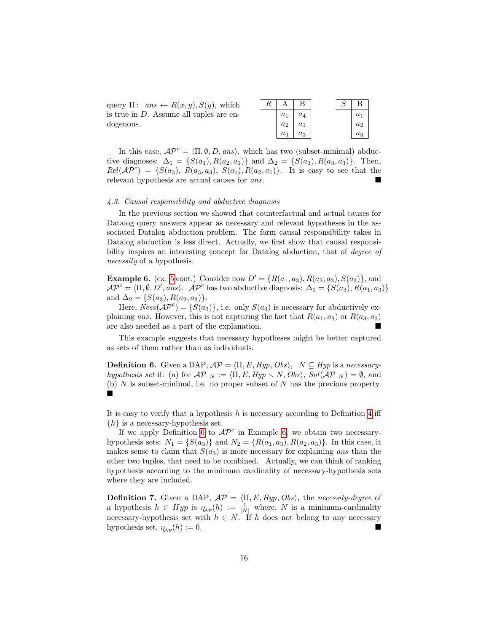| query $\Pi: ans \leftarrow R(x,y), S(y)$ , which |  |
|--------------------------------------------------|--|
| is true in $D$ . Assume all tuples are en-       |  |
| dogenous.                                        |  |

| R |       |       |  | В     |
|---|-------|-------|--|-------|
|   | $a_1$ | $a_4$ |  | $a_1$ |
|   | $a_2$ | $a_1$ |  | $a_2$ |
|   | $a_3$ | $a_3$ |  | $a_3$ |

In this case,  $\mathcal{AP}^c = \langle \Pi, \emptyset, D, ans \rangle$ , which has two (subset-minimal) abductive diagnoses:  $\Delta_1 = \{S(a_1), R(a_2, a_1)\}\$ and  $\Delta_2 = \{S(a_3), R(a_3, a_3)\}\$ . Then,  $Rel(\mathcal{AP}^c) = \{S(a_3), R(a_3,a_3), S(a_1), R(a_2,a_1)\}.$  It is easy to see that the relevant hypothesis are actual causes for ans.

#### <span id="page-15-2"></span>4.3. Causal responsibility and abductive diagnosis

In the previous section we showed that counterfactual and actual causes for Datalog query answers appear as necessary and relevant hypotheses in the associated Datalog abduction problem. The form causal responsibility takes in Datalog abduction is less direct. Actually, we first show that causal responsibility inspires an interesting concept for Datalog abduction, that of *degree of* necessity of a hypothesis.

<span id="page-15-1"></span>**Example 6.** (ex. [5](#page-14-0) cont.) Consider now  $D' = \{R(a_1, a_3), R(a_2, a_3), S(a_3)\}\$ , and  $\mathcal{AP}^c = \langle \Pi, \emptyset, D', ans \rangle$ .  $\mathcal{AP}^c$  has two abductive diagnosis:  $\Delta_1 = \{S(a_3), R(a_1, a_3)\}\$ and  $\Delta_2 = \{S(a_3), R(a_2, a_3)\}.$ 

Here,  $Ness(\mathcal{AP}^c) = \{S(a_3)\}\$ , i.e. only  $S(a_3)$  is necessary for abductively explaining ans. However, this is not capturing the fact that  $R(a_1, a_3)$  or  $R(a_3, a_3)$ are also needed as a part of the explanation.

This example suggests that necessary hypotheses might be better captured as sets of them rather than as individuals.

<span id="page-15-0"></span>**Definition 6.** Given a DAP,  $AP = \langle \Pi, E, Hyp, Obs \rangle$ ,  $N \subseteq Hyp$  is a necessaryhypothesis set if: (a) for  $\mathcal{AP}_{-N} := \langle \Pi, E, Hyp \setminus N, Obs \rangle$ ,  $Sol(\mathcal{AP}_{-N}) = \emptyset$ , and (b)  $N$  is subset-minimal, i.e. no proper subset of  $N$  has the previous property. È

It is easy to verify that a hypothesis  $h$  is necessary according to Definition [4](#page-10-4) iff  $\{h\}$  is a necessary-hypothesis set.

If we apply Definition [6](#page-15-0) to  $AP^c$  in Example [6,](#page-15-1) we obtain two necessaryhypothesis sets:  $N_1 = \{S(a_3)\}\$ and  $N_2 = \{R(a_1, a_3), R(a_2, a_3)\}\$ . In this case, it makes sense to claim that  $S(a_3)$  is more necessary for explaining ans than the other two tuples, that need to be combined. Actually, we can think of ranking hypothesis according to the minimum cardinality of necessary-hypothesis sets where they are included.

**Definition 7.** Given a DAP,  $AP = \langle \Pi, E, Hyp, Obs \rangle$ , the necessity-degree of a hypothesis  $h \in Hyp$  is  $\eta_{AP}(h) := \frac{1}{|N|}$  where, N is a minimum-cardinality necessary-hypothesis set with  $h \in N$ . If h does not belong to any necessary hypothesis set,  $\eta_{AP}(h) := 0$ .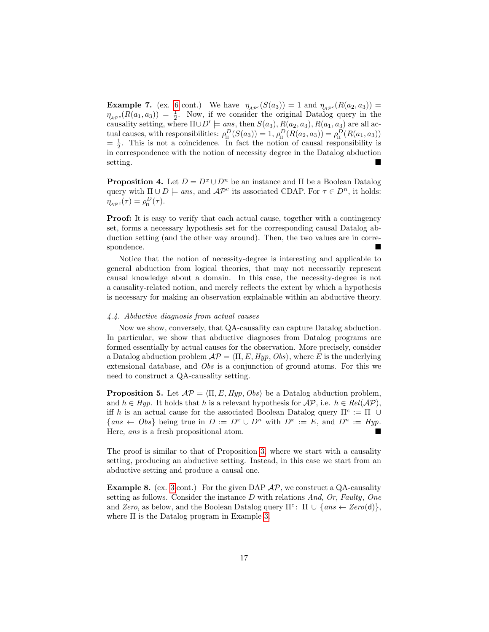**Example 7.** (ex. [6](#page-15-1) cont.) We have  $\eta_{A\mathcal{P}^c}(S(a_3)) = 1$  and  $\eta_{A\mathcal{P}^c}(R(a_2, a_3)) =$  $\eta_{A\mathcal{P}^c}(R(a_1, a_3)) = \frac{1}{2}$ . Now, if we consider the original Datalog query in the causality setting, where  $\Pi \cup D' \models ans$ , then  $S(a_3)$ ,  $R(a_2, a_3)$ ,  $R(a_1, a_3)$  are all actual causes, with responsibilities:  $\rho_n^D(S(a_3)) = 1, \rho_n^D(R(a_2, a_3)) = \rho_n^D(R(a_1, a_3))$  $=\frac{1}{2}$ . This is not a coincidence. In fact the notion of causal responsibility is in correspondence with the notion of necessity degree in the Datalog abduction setting.

**Proposition 4.** Let  $D = D^x \cup D^n$  be an instance and  $\Pi$  be a Boolean Datalog query with  $\Pi \cup D$   $\models$  ans, and  $\mathcal{AP}^c$  its associated CDAP. For  $\tau \in D^n$ , it holds:  $\eta_{A\mathcal{P}^c}(\tau) = \rho_{\Pi}^D(\tau).$ 

Proof: It is easy to verify that each actual cause, together with a contingency set, forms a necessary hypothesis set for the corresponding causal Datalog abduction setting (and the other way around). Then, the two values are in correspondence.

Notice that the notion of necessity-degree is interesting and applicable to general abduction from logical theories, that may not necessarily represent causal knowledge about a domain. In this case, the necessity-degree is not a causality-related notion, and merely reflects the extent by which a hypothesis is necessary for making an observation explainable within an abductive theory.

## 4.4. Abductive diagnosis from actual causes

Now we show, conversely, that QA-causality can capture Datalog abduction. In particular, we show that abductive diagnoses from Datalog programs are formed essentially by actual causes for the observation. More precisely, consider a Datalog abduction problem  $\mathcal{AP} = \langle \Pi, E, Hyp, Obs \rangle$ , where E is the underlying extensional database, and Obs is a conjunction of ground atoms. For this we need to construct a QA-causality setting.

<span id="page-16-0"></span>**Proposition 5.** Let  $AP = \langle \Pi, E, Hyp, Obs \rangle$  be a Datalog abduction problem, and  $h \in Hyp$ . It holds that h is a relevant hypothesis for  $\mathcal{AP}$ , i.e.  $h \in Rel(\mathcal{AP})$ , iff h is an actual cause for the associated Boolean Datalog query  $\Pi^c := \Pi$  ∪  $\{ans \leftarrow Obs\}$  being true in  $D := D^x \cup D^n$  with  $D^x := E$ , and  $D^n := Hyp$ . Here, ans is a fresh propositional atom.

The proof is similar to that of Proposition [3,](#page-14-1) where we start with a causality setting, producing an abductive setting. Instead, in this case we start from an abductive setting and produce a causal one.

**Example 8.** (ex. [3](#page-10-5) cont.) For the given DAP  $AP$ , we construct a QA-causality setting as follows. Consider the instance  $D$  with relations And, Or, Faulty, One and Zero, as below, and the Boolean Datalog query  $\Pi^c$ :  $\Pi \cup \{ans \leftarrow Zero(d)\},$ where  $\Pi$  is the Datalog program in Example [3.](#page-10-5)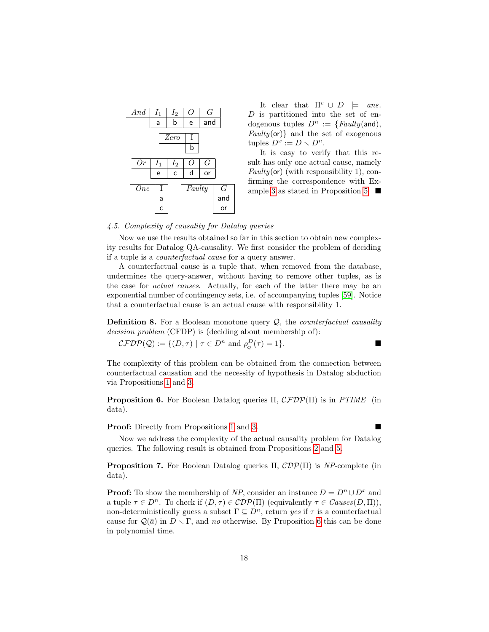| And        | $I_1$          | $I_2$ | Ω        | G   |       |
|------------|----------------|-------|----------|-----|-------|
|            | a              | b     | e        | and |       |
|            |                |       |          |     |       |
|            |                | Zero  | Τ        |     |       |
|            |                |       | b        |     |       |
|            |                |       |          |     |       |
| Or         | $I_1$          | $I_2$ | $\theta$ | G   |       |
|            | e              | C     | d        | or  |       |
|            |                |       |          |     |       |
| <b>One</b> | Ι              |       | Faulty   |     | $G\,$ |
|            | a              |       |          |     | and   |
|            | $\overline{c}$ |       |          |     | or    |

It clear that  $\Pi^c \cup D \models \text{ans.}$ D is partitioned into the set of endogenous tuples  $D^n := \{Faulty(\text{and}),$  $Faulty($ **or** $)$ } and the set of exogenous tuples  $D^x := D \setminus D^n$ .

It is easy to verify that this result has only one actual cause, namely  $Faulty($  or) (with responsibility 1), confirming the correspondence with Ex-ample [3](#page-10-5) as stated in Proposition [5.](#page-16-0)  $\blacksquare$ 

## 4.5. Complexity of causality for Datalog queries

Now we use the results obtained so far in this section to obtain new complexity results for Datalog QA-causality. We first consider the problem of deciding if a tuple is a counterfactual cause for a query answer.

A counterfactual cause is a tuple that, when removed from the database, undermines the query-answer, without having to remove other tuples, as is the case for actual causes. Actually, for each of the latter there may be an exponential number of contingency sets, i.e. of accompanying tuples [\[59\]](#page-44-0). Notice that a counterfactual cause is an actual cause with responsibility 1.

**Definition 8.** For a Boolean monotone query  $Q$ , the *counterfactual causality* decision problem (CFDP) is (deciding about membership of):

$$
\mathcal{CFDP}(\mathcal{Q}) := \{ (D, \tau) \mid \tau \in D^n \text{ and } \rho_{\mathcal{Q}}^D(\tau) = 1 \}.
$$

The complexity of this problem can be obtained from the connection between counterfactual causation and the necessity of hypothesis in Datalog abduction via Propositions [1](#page-12-1) and [3.](#page-14-1)

<span id="page-17-0"></span>**Proposition 6.** For Boolean Datalog queries Π,  $\mathcal{CFDP}(\Pi)$  is in PTIME (in data).

**Proof:** Directly from Propositions [1](#page-12-1) and [3.](#page-14-1)

Now we address the complexity of the actual causality problem for Datalog queries. The following result is obtained from Propositions [2](#page-12-2) and [5.](#page-16-0)

<span id="page-17-1"></span>**Proposition 7.** For Boolean Datalog queries  $\Pi$ ,  $\mathcal{CDP}(\Pi)$  is NP-complete (in data).

**Proof:** To show the membership of NP, consider an instance  $D = D^n \cup D^x$  and a tuple  $\tau \in D^n$ . To check if  $(D, \tau) \in \mathcal{C}DP(\Pi)$  (equivalently  $\tau \in \mathit{Causes}(D, \Pi)$ ), non-deterministically guess a subset  $\Gamma \subseteq D^n$ , return yes if  $\tau$  is a counterfactual cause for  $\mathcal{Q}(\bar{a})$  in  $D \setminus \Gamma$ , and no otherwise. By Proposition [6](#page-17-0) this can be done in polynomial time.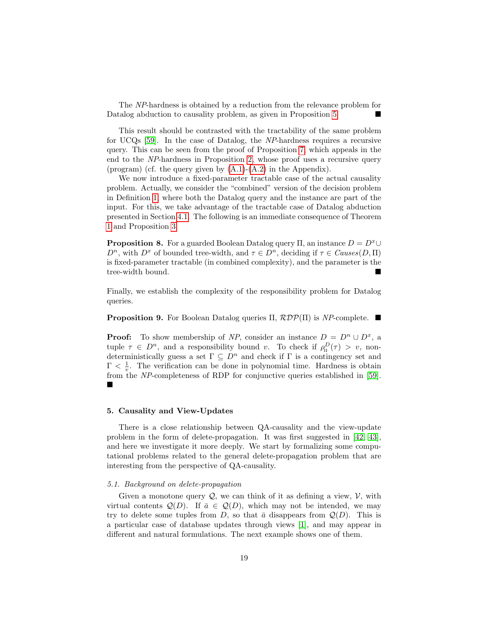The NP-hardness is obtained by a reduction from the relevance problem for Datalog abduction to causality problem, as given in Proposition [5.](#page-16-0)

This result should be contrasted with the tractability of the same problem for UCQs [\[59\]](#page-44-0). In the case of Datalog, the NP-hardness requires a recursive query. This can be seen from the proof of Proposition [7,](#page-17-1) which appeals in the end to the NP-hardness in Proposition [2,](#page-12-2) whose proof uses a recursive query (program) (cf. the query given by [\(A.1\)](#page-46-0)-[\(A.2\)](#page-46-0) in the Appendix).

We now introduce a fixed-parameter tractable case of the actual causality problem. Actually, we consider the "combined" version of the decision problem in Definition [1,](#page-8-1) where both the Datalog query and the instance are part of the input. For this, we take advantage of the tractable case of Datalog abduction presented in Section [4.1.](#page-10-6) The following is an immediate consequence of Theorem [1](#page-13-1) and Proposition [3.](#page-14-1)

**Proposition 8.** For a guarded Boolean Datalog query  $\Pi$ , an instance  $D = D^x \cup$  $D^n$ , with  $D^x$  of bounded tree-width, and  $\tau \in D^n$ , deciding if  $\tau \in \text{Causes}(D, \Pi)$ is fixed-parameter tractable (in combined complexity), and the parameter is the tree-width bound.

Finally, we establish the complexity of the responsibility problem for Datalog queries.

**Proposition 9.** For Boolean Datalog queries  $\Pi$ ,  $\mathcal{RDP}(\Pi)$  is NP-complete.

**Proof:** To show membership of NP, consider an instance  $D = D^n \cup D^x$ , a tuple  $\tau \in D^n$ , and a responsibility bound v. To check if  $\rho_{\Pi}^D(\tau) > v$ , nondeterministically guess a set  $\Gamma \subseteq D^n$  and check if  $\Gamma$  is a contingency set and  $\Gamma < \frac{1}{v}$ . The verification can be done in polynomial time. Hardness is obtain from the NP-completeness of RDP for conjunctive queries established in [\[59\]](#page-44-0).  $\blacksquare$ 

## <span id="page-18-0"></span>5. Causality and View-Updates

There is a close relationship between QA-causality and the view-update problem in the form of delete-propagation. It was first suggested in [\[42,](#page-43-7) [43\]](#page-43-8), and here we investigate it more deeply. We start by formalizing some computational problems related to the general delete-propagation problem that are interesting from the perspective of QA-causality.

#### <span id="page-18-1"></span>5.1. Background on delete-propagation

Given a monotone query  $Q$ , we can think of it as defining a view,  $V$ , with virtual contents  $\mathcal{Q}(D)$ . If  $\bar{a} \in \mathcal{Q}(D)$ , which may not be intended, we may try to delete some tuples from D, so that  $\bar{a}$  disappears from  $\mathcal{Q}(D)$ . This is a particular case of database updates through views [\[1\]](#page-40-1), and may appear in different and natural formulations. The next example shows one of them.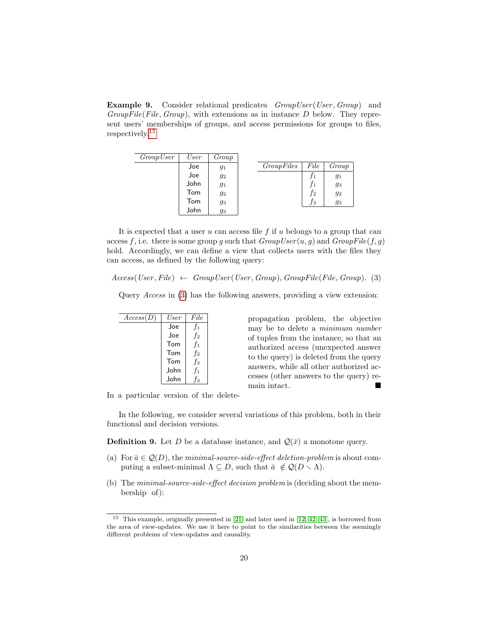<span id="page-19-3"></span>**Example 9.** Consider relational predicates GroupUser (User, Group) and  $GroupFile(File, Group)$ , with extensions as in instance D below. They represent users' memberships of groups, and access permissions for groups to files, respectively.[15](#page-19-0)

| GroupUser | User | Group |            |      |       |
|-----------|------|-------|------------|------|-------|
|           | Joe  | 91    | GroupFiles | File | Group |
|           | Joe  | $g_2$ |            |      | 91    |
|           | John | 91    |            | J 1  | 93    |
|           | Tom  | 92    |            | Ť2   | $g_2$ |
|           | Tom  | 93    |            | ĴЗ   | 93    |
|           | John | 93    |            |      |       |

It is expected that a user u can access file f if u belongs to a group that can access f, i.e. there is some group g such that  $GroupUser(u, g)$  and  $GroupFile(f, g)$ hold. Accordingly, we can define a view that collects users with the files they can access, as defined by the following query:

 $Access(User, File) \leftarrow GroupUser(User, Group), GroupFile(File, Group).$  (3)

Query Access in [\(3\)](#page-19-1) has the following answers, providing a view extension:

| Access(D) | User | File             |
|-----------|------|------------------|
|           | Joe  | $f_1$            |
|           | .Joe | $f_2$            |
|           | Tom  | $f_1$            |
|           | Tom  | $f_2$            |
|           | Tom  | $f_3$            |
|           | John | $f_1$            |
|           | John | $\mathbf{f}_{3}$ |

<span id="page-19-1"></span>propagation problem, the objective may be to delete a minimum number of tuples from the instance, so that an authorized access (unexpected answer to the query) is deleted from the query answers, while all other authorized accesses (other answers to the query) remain intact.

In a particular version of the delete-

In the following, we consider several variations of this problem, both in their functional and decision versions.

<span id="page-19-2"></span>**Definition 9.** Let D be a database instance, and  $\mathcal{Q}(\bar{x})$  a monotone query.

- (a) For  $\bar{a} \in \mathcal{Q}(D)$ , the minimal-source-side-effect deletion-problem is about computing a subset-minimal  $\Lambda \subseteq D$ , such that  $\bar{a} \notin \mathcal{Q}(D \setminus \Lambda)$ .
- (b) The minimal-source-side-effect decision problem is (deciding about the membership of):

<span id="page-19-0"></span><sup>15</sup> This example, originally presented in [\[21\]](#page-42-8) and later used in [\[12,](#page-41-5) [42,](#page-43-7) [43\]](#page-43-8), is borrowed from the area of view-updates. We use it here to point to the similarities between the seemingly different problems of view-updates and causality.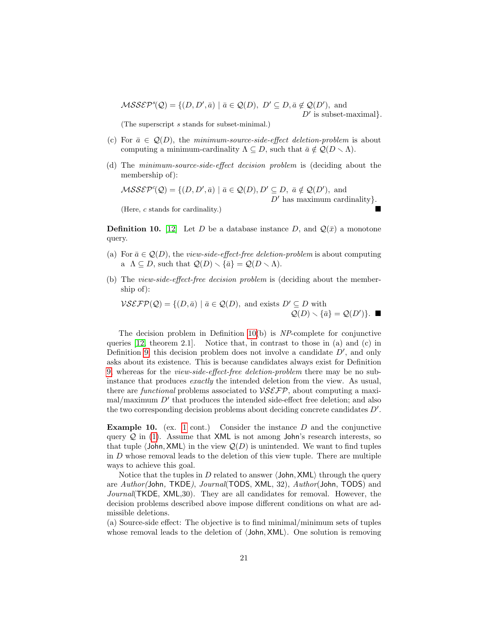$MSS\mathcal{E}\mathcal{P}^s(\mathcal{Q}) = \{ (D, D', \bar{a}) \mid \bar{a} \in \mathcal{Q}(D), D' \subseteq D, \bar{a} \notin \mathcal{Q}(D'), \text{ and }$ 

 $D'$  is subset-maximal}.

(The superscript s stands for subset-minimal.)

- (c) For  $\bar{a} \in \mathcal{Q}(D)$ , the minimum-source-side-effect deletion-problem is about computing a minimum-cardinality  $\Lambda \subseteq D$ , such that  $\bar{a} \notin \mathcal{Q}(D \setminus \Lambda)$ .
- (d) The minimum-source-side-effect decision problem is (deciding about the membership of):

 $MSS\mathcal{E}\mathcal{P}^c(\mathcal{Q}) = \{ (D, D', \bar{a}) \mid \bar{a} \in \mathcal{Q}(D), D' \subseteq D, \bar{a} \notin \mathcal{Q}(D'), \text{ and}$  $D'$  has maximum cardinality}. (Here, c stands for cardinality.)

<span id="page-20-0"></span>**Definition 10.** [\[12\]](#page-41-5) Let D be a database instance D, and  $\mathcal{Q}(\bar{x})$  a monotone

query.

- (a) For  $\bar{a} \in \mathcal{Q}(D)$ , the *view-side-effect-free deletion-problem* is about computing a  $\Lambda \subseteq D$ , such that  $\mathcal{Q}(D) \setminus {\overline{a}} = \mathcal{Q}(D \setminus \Lambda)$ .
- (b) The view-side-effect-free decision problem is (deciding about the membership of):

$$
\mathcal{VSETP}(\mathcal{Q}) = \{ (D, \bar{a}) \mid \bar{a} \in \mathcal{Q}(D), \text{ and exists } D' \subseteq D \text{ with}
$$
  

$$
\mathcal{Q}(D) \setminus {\bar{a}} = \mathcal{Q}(D') \}.
$$

The decision problem in Definition  $10(b)$  is NP-complete for conjunctive queries [\[12,](#page-41-5) theorem 2.1]. Notice that, in contrast to those in (a) and (c) in Definition [9,](#page-19-2) this decision problem does not involve a candidate  $D'$ , and only asks about its existence. This is because candidates always exist for Definition [9,](#page-19-2) whereas for the view-side-effect-free deletion-problem there may be no subinstance that produces exactly the intended deletion from the view. As usual, there are *functional* problems associated to  $VSEFP$ , about computing a maxi- $\text{mal}/\text{maximum } D'$  that produces the intended side-effect free deletion; and also the two corresponding decision problems about deciding concrete candidates  $D'$ .

<span id="page-20-1"></span>**Example [1](#page-6-3)0.** (ex. 1 cont.) Consider the instance  $D$  and the conjunctive query  $Q$  in [\(1\)](#page-6-2). Assume that XML is not among John's research interests, so that tuple  $\langle$ John, XML $\rangle$  in the view  $\mathcal{Q}(D)$  is unintended. We want to find tuples in  $D$  whose removal leads to the deletion of this view tuple. There are multiple ways to achieve this goal.

Notice that the tuples in D related to answer  $\langle$  John, XML $\rangle$  through the query are Author(John, TKDE), Journal(TODS, XML, 32), Author(John, TODS) and Journal (TKDE, XML, 30). They are all candidates for removal. However, the decision problems described above impose different conditions on what are admissible deletions.

(a) Source-side effect: The objective is to find minimal/minimum sets of tuples whose removal leads to the deletion of  $\langle$  John, XML $\rangle$ . One solution is removing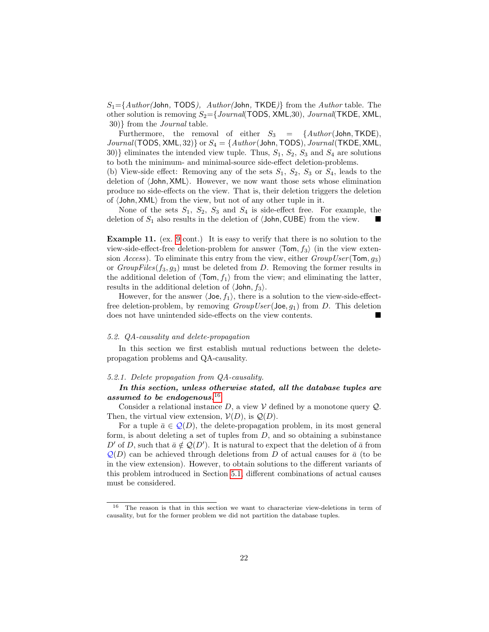$S_1 = \{Author(John, TODS), Author(John, TKDE)\}$  from the Author table. The other solution is removing  $S_2 = \{Journal(TODS, XML,30), Journal(TKDE, XML,$ 30)} from the Journal table.

Furthermore, the removal of either  $S_3$  = {Author(John, TKDE),  $Journal(TODS, XML, 32)$  or  $S_4 = \{Author(John, TODS), Journal(TKDE, XML,$ 30)} eliminates the intended view tuple. Thus,  $S_1$ ,  $S_2$ ,  $S_3$  and  $S_4$  are solutions to both the minimum- and minimal-source side-effect deletion-problems.

(b) View-side effect: Removing any of the sets  $S_1$ ,  $S_2$ ,  $S_3$  or  $S_4$ , leads to the deletion of  $\langle$ John, XML $\rangle$ . However, we now want those sets whose elimination produce no side-effects on the view. That is, their deletion triggers the deletion of  $\langle$  John, XML $\rangle$  from the view, but not of any other tuple in it.

None of the sets  $S_1$ ,  $S_2$ ,  $S_3$  and  $S_4$  is side-effect free. For example, the deletion of  $S_1$  also results in the deletion of  $\langle$ John, CUBE $\rangle$  from the view.

Example 11. (ex. [9](#page-19-3) cont.) It is easy to verify that there is no solution to the view-side-effect-free deletion-problem for answer  $\langle \text{Tom}, f_3 \rangle$  (in the view extension Access). To eliminate this entry from the view, either  $GroupUser(Tom, g_3)$ or  $GroupFiles(f_3, g_3)$  must be deleted from D. Removing the former results in the additional deletion of  $\langle \text{Tom}, f_1 \rangle$  from the view; and eliminating the latter, results in the additional deletion of  $\langle$  John,  $f_3$  $\rangle$ .

However, for the answer  $\langle$  Joe,  $f_1$ , there is a solution to the view-side-effectfree deletion-problem, by removing  $GroupUser($  Joe,  $g_1)$  from D. This deletion does not have unintended side-effects on the view contents.

## 5.2. QA-causality and delete-propagation

In this section we first establish mutual reductions between the deletepropagation problems and QA-causality.

## 5.2.1. Delete propagation from QA-causality.

## In this section, unless otherwise stated, all the database tuples are assumed to be endogenous. $16$

Consider a relational instance  $D$ , a view  $V$  defined by a monotone query  $Q$ . Then, the virtual view extension,  $V(D)$ , is  $Q(D)$ .

For a tuple  $\bar{a} \in \mathcal{Q}(D)$ , the delete-propagation problem, in its most general form, is about deleting a set of tuples from  $D$ , and so obtaining a subinstance D' of D, such that  $\bar{a} \notin \mathcal{Q}(D')$ . It is natural to expect that the deletion of  $\bar{a}$  from  $\mathcal{Q}(D)$  can be achieved through deletions from D of actual causes for  $\bar{a}$  (to be in the view extension). However, to obtain solutions to the different variants of this problem introduced in Section [5.1,](#page-18-1) different combinations of actual causes must be considered.

<span id="page-21-0"></span><sup>16</sup> The reason is that in this section we want to characterize view-deletions in term of causality, but for the former problem we did not partition the database tuples.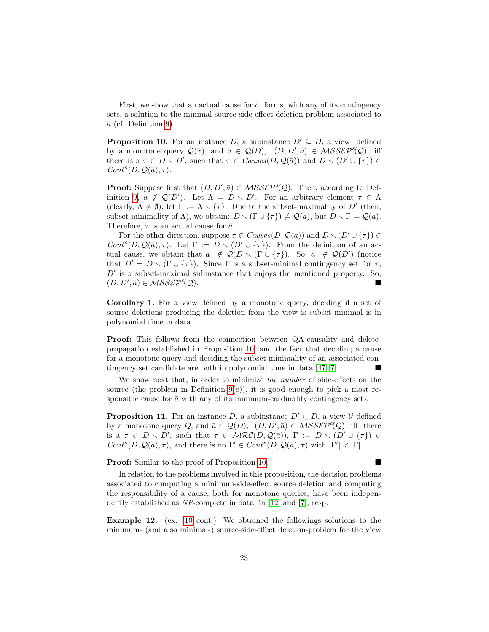First, we show that an actual cause for  $\bar{a}$  forms, with any of its contingency sets, a solution to the minimal-source-side-effect deletion-problem associated to  $\bar{a}$  (cf. Definition [9\)](#page-19-2).

<span id="page-22-0"></span>**Proposition 10.** For an instance  $D$ , a subinstance  $D' \subseteq D$ , a view defined by a monotone query  $\mathcal{Q}(\bar{x})$ , and  $\bar{a} \in \mathcal{Q}(D)$ ,  $(D, D', \bar{a}) \in \mathcal{MSSEP}^s(\mathcal{Q})$  iff there is a  $\tau \in D \setminus D'$ , such that  $\tau \in \text{Causes}(D, \mathcal{Q}(\bar{a}))$  and  $D \setminus (D' \cup {\tau}) \in$  $Cont^s(D, \mathcal{Q}(\bar{a}), \tau).$ 

**Proof:** Suppose first that  $(D, D', \bar{a}) \in MSSE\mathcal{P}^s(\mathcal{Q})$ . Then, according to Def-inition [9,](#page-19-2)  $\bar{a} \notin \mathcal{Q}(D')$ . Let  $\Lambda = D \setminus D'$ . For an arbitrary element  $\tau \in \Lambda$ (clearly,  $\Lambda \neq \emptyset$ ), let  $\Gamma := \Lambda \setminus {\tau}$ . Due to the subset-maximality of D' (then, subset-minimality of  $\Lambda$ ), we obtain:  $D \setminus (\Gamma \cup \{\tau\}) \not\models \mathcal{Q}(\bar{a})$ , but  $D \setminus \Gamma \models \mathcal{Q}(\bar{a})$ . Therefore,  $\tau$  is an actual cause for  $\bar{a}$ .

For the other direction, suppose  $\tau \in \text{Causes}(D, \mathcal{Q}(\bar{a}))$  and  $D \setminus (D' \cup \{\tau\}) \in$ Cont<sup>s</sup>(D, Q( $\bar{a}$ ),  $\tau$ ). Let  $\Gamma := D \setminus (D' \cup \{\tau\})$ . From the definition of an actual cause, we obtain that  $\bar{a} \notin \mathcal{Q}(D \setminus (\Gamma \cup \{\tau\})$ . So,  $\bar{a} \notin \mathcal{Q}(D')$  (notice that  $D' = D \setminus (\Gamma \cup \{\tau\})$ . Since  $\Gamma$  is a subset-minimal contingency set for  $\tau$ ,  $D'$  is a subset-maximal subinstance that enjoys the mentioned property. So,  $(D, D', \bar{a}) \in \mathcal{MSSEP}^s$  $(\mathcal{Q}).$ 

Corollary 1. For a view defined by a monotone query, deciding if a set of source deletions producing the deletion from the view is subset minimal is in polynomial time in data.

Proof: This follows from the connection between QA-causality and deletepropagation established in Proposition [10,](#page-22-0) and the fact that deciding a cause for a monotone query and deciding the subset minimality of an associated contingency set candidate are both in polynomial time in data [\[47,](#page-43-2) [7\]](#page-41-1).

We show next that, in order to minimize the number of side-effects on the source (the problem in Definition  $9(c)$ ), it is good enough to pick a most responsible cause for  $\bar{a}$  with any of its minimum-cardinality contingency sets.

<span id="page-22-1"></span>**Proposition 11.** For an instance  $D$ , a subinstance  $D' \subseteq D$ , a view V defined by a monotone query Q, and  $\bar{a} \in \mathcal{Q}(D)$ ,  $(D, D', \bar{a}) \in \mathcal{MSSEP}^c(\mathcal{Q})$  iff there is a  $\tau \in D \setminus D'$ , such that  $\tau \in \mathcal{MRC}(D, \mathcal{Q}(\bar{a}))$ ,  $\Gamma := D \setminus (D' \cup \{\tau\}) \in$  $Cont^s(D, \mathcal{Q}(\bar{a}), \tau)$ , and there is no  $\Gamma' \in Cont^s(D, \mathcal{Q}(\bar{a}), \tau)$  with  $|\Gamma'| < |\Gamma|$ .

**Proof:** Similar to the proof of Proposition [10.](#page-22-0)

In relation to the problems involved in this proposition, the decision problems associated to computing a minimum-side-effect source deletion and computing the responsibility of a cause, both for monotone queries, have been independently established as NP-complete in data, in [\[12\]](#page-41-5) and [\[7\]](#page-41-1), resp.

<span id="page-22-2"></span>Example 12. (ex. [10](#page-20-1) cont.) We obtained the followings solutions to the minimum- (and also minimal-) source-side-effect deletion-problem for the view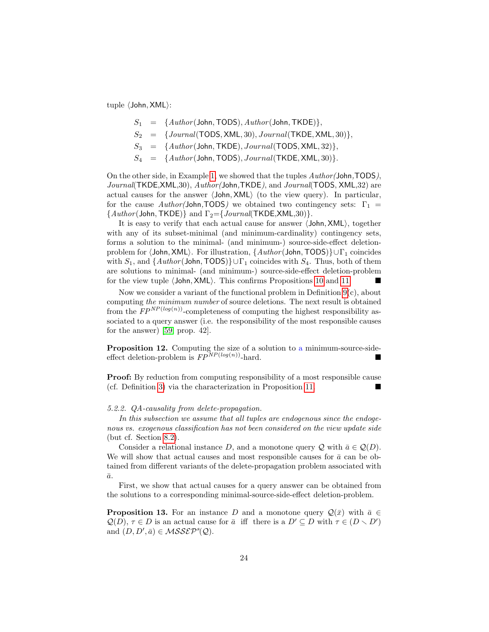tuple  $\langle$  John, XML $\rangle$ :

- $S_1 = \{Author(John, TODS), Author(John, TKDE)\},\$
- $S_2$  = {*Journal*(TODS, XML, 30), *Journal*(TKDE, XML, 30)},
- $S_3$  = { $Author(John, TKDE)$ ,  $Journal(TODS, XML, 32)$ },
- $S_4 = \{Author(John, TODS), Journal(TKDE, XML, 30)\}.$

On the other side, in Example [1,](#page-6-3) we showed that the tuples Author(John,TODS), Journal(TKDE,XML,30), Author(John,TKDE), and Journal(TODS, XML,32) are actual causes for the answer  $\langle$  John, XML $\rangle$  (to the view query). In particular, for the cause  $Author(John, TODS)$  we obtained two contingency sets:  $\Gamma_1$  =  ${Author(John, TKDE)}$  and  $\Gamma_2 = {Journal(TKDE, XML,30)}.$ 

It is easy to verify that each actual cause for answer  $\langle$  John, XML $\rangle$ , together with any of its subset-minimal (and minimum-cardinality) contingency sets, forms a solution to the minimal- (and minimum-) source-side-effect deletionproblem for  $\Delta M$ L). For illustration,  $\{Author(John, TODS)\}\cup \Gamma_1$  coincides with  $S_1$ , and  $\{Author(John, TODS)\} \cup \Gamma_1$  coincides with  $S_4$ . Thus, both of them are solutions to minimal- (and minimum-) source-side-effect deletion-problem for the view tuple  $\langle$  John, XML $\rangle$ . This confirms Propositions [10](#page-22-0) and [11.](#page-22-1)

Now we consider a variant of the functional problem in Definition  $9(c)$ , about computing the minimum number of source deletions. The next result is obtained from the  $\widetilde{FP}^{NP(log(n))}$ -completeness of computing the highest responsibility associated to a query answer (i.e. the responsibility of the most responsible causes for the answer) [\[59,](#page-44-0) prop. 42].

Proposition 12. Computing the size of a solution to a minimum-source-sideeffect deletion-problem is  $FP^{NP(log(n))}$ -hard.

Proof: By reduction from computing responsibility of a most responsible cause (cf. Definition [3\)](#page-9-2) via the characterization in Proposition [11.](#page-22-1)

#### 5.2.2. QA-causality from delete-propagation.

In this subsection we assume that all tuples are endogenous since the endogenous vs. exogenous classification has not been considered on the view update side (but cf. Section [8.2\)](#page-39-0).

Consider a relational instance D, and a monotone query Q with  $\bar{a} \in \mathcal{Q}(D)$ . We will show that actual causes and most responsible causes for  $\bar{a}$  can be obtained from different variants of the delete-propagation problem associated with  $\bar{a}$ .

First, we show that actual causes for a query answer can be obtained from the solutions to a corresponding minimal-source-side-effect deletion-problem.

<span id="page-23-0"></span>**Proposition 13.** For an instance D and a monotone query  $\mathcal{Q}(\bar{x})$  with  $\bar{a} \in \mathcal{Q}$  $\mathcal{Q}(D)$ ,  $\tau \in D$  is an actual cause for  $\bar{a}$  iff there is a  $D' \subseteq D$  with  $\tau \in (D \setminus D')$ and  $(D, D', \bar{a}) \in \mathcal{MSSEP}^s(\mathcal{Q})$ .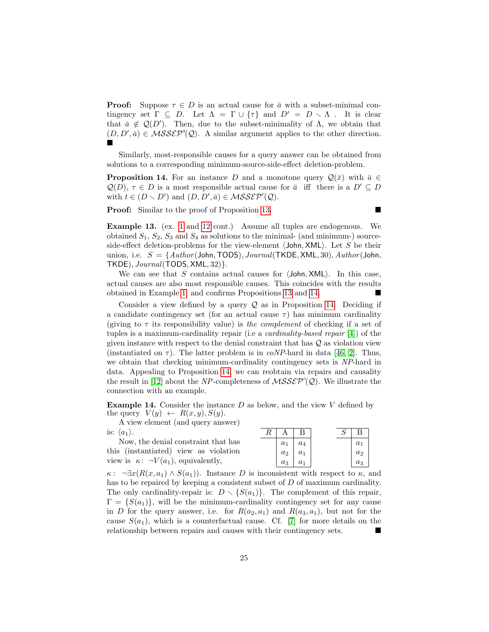**Proof:** Suppose  $\tau \in D$  is an actual cause for  $\bar{a}$  with a subset-minimal contingency set  $\Gamma \subseteq D$ . Let  $\Lambda = \Gamma \cup \{\tau\}$  and  $D' = D \setminus \Lambda$ . It is clear that  $\bar{a} \notin \mathcal{Q}(D')$ . Then, due to the subset-minimality of  $\Lambda$ , we obtain that  $(D, D', \bar{a}) \in \mathcal{MSSEP}^s(\mathcal{Q})$ . A similar argument applies to the other direction. È

Similarly, most-responsible causes for a query answer can be obtained from solutions to a corresponding minimum-source-side-effect deletion-problem.

**Proposition 14.** For an instance D and a monotone query  $\mathcal{Q}(\bar{x})$  with  $\bar{a} \in \mathcal{Q}(\bar{x})$  $\mathcal{Q}(D)$ ,  $\tau \in D$  is a most responsible actual cause for  $\bar{a}$  iff there is a  $D' \subseteq D$ with  $t \in (D \setminus D')$  and  $(D, D', \bar{a}) \in \mathcal{MSSEPP}^c(\mathcal{Q})$ .

**Proof:** Similar to the proof of Proposition [13.](#page-23-0) ■

Example 13. (ex. [1](#page-6-3) and [12](#page-22-2) cont.) Assume all tuples are endogenous. We obtained  $S_1, S_2, S_3$  and  $S_4$  as solutions to the minimal- (and minimum-) sourceside-effect deletion-problems for the view-element  $\langle$  John, XML $\rangle$ . Let S be their union, i.e.  $S = \{Author(John, TODS), Journal(TKDE, XML, 30), Author(John,$  $TKDE$ ,  $Journal(TODS, XML, 32)$ .

We can see that  $S$  contains actual causes for  $\langle$  John, XML $\rangle$ . In this case, actual causes are also most responsible causes. This coincides with the results obtained in Example [1,](#page-6-3) and confirms Propositions [13](#page-23-0) and [14.](#page-24-0)

Consider a view defined by a query  $\mathcal Q$  as in Proposition [14.](#page-24-0) Deciding if a candidate contingency set (for an actual cause  $\tau$ ) has minimum cardinality (giving to  $\tau$  its responsibility value) is the complement of checking if a set of tuples is a maximum-cardinality repair (i.e a cardinality-based repair [\[4\]](#page-40-0)) of the given instance with respect to the denial constraint that has Q as violation view (instantiated on  $\tau$ ). The latter problem is in *coNP*-hard in data [\[46,](#page-43-10) [2\]](#page-40-2). Thus, we obtain that checking minimum-cardinality contingency sets is NP-hard in data. Appealing to Proposition [14,](#page-24-0) we can reobtain via repairs and causality the result in [\[12\]](#page-41-5) about the NP-completeness of  $MSS\mathcal{E}\mathcal{P}^c(\mathcal{Q})$ . We illustrate the connection with an example.

**Example 14.** Consider the instance  $D$  as below, and the view  $V$  defined by the query  $V(y) \leftarrow R(x, y), S(y)$ .

A view element (and query answer) is:  $\langle a_1 \rangle$ 

| is: $\langle a_1 \rangle$ .                      |       | $A \perp B$ |  |       |
|--------------------------------------------------|-------|-------------|--|-------|
| Now, the denial constraint that has              | $a_1$ | $a_4$       |  | $a_1$ |
| this (instantiated) view as violation            | $a_2$ | $a_1$       |  | $a_2$ |
| view is $\kappa$ : $\neg V(a_1)$ , equivalently, | $a_3$ | $a_1$       |  | $a_3$ |

 $\kappa$ : ¬ $\exists x (R(x, a_1) \wedge S(a_1))$ . Instance D is inconsistent with respect to  $\kappa$ , and has to be repaired by keeping a consistent subset of D of maximum cardinality. The only cardinality-repair is:  $D \setminus \{S(a_1)\}\$ . The complement of this repair,  $\Gamma = \{S(a_1)\}\$ , will be the minimum-cardinality contingency set for any cause in D for the query answer, i.e. for  $R(a_2, a_1)$  and  $R(a_3, a_1)$ , but not for the cause  $S(a_1)$ , which is a counterfactual cause. Cf. [\[7\]](#page-41-1) for more details on the relationship between repairs and causes with their contingency sets.

<span id="page-24-0"></span>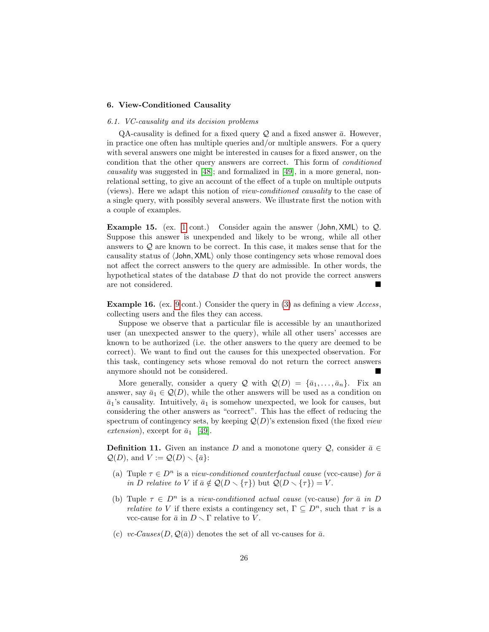## <span id="page-25-0"></span>6. View-Conditioned Causality

## 6.1. VC-causality and its decision problems

QA-causality is defined for a fixed query  $\mathcal Q$  and a fixed answer  $\bar a$ . However, in practice one often has multiple queries and/or multiple answers. For a query with several answers one might be interested in causes for a fixed answer, on the condition that the other query answers are correct. This form of conditioned causality was suggested in [\[48\]](#page-43-3); and formalized in [\[49\]](#page-43-4), in a more general, nonrelational setting, to give an account of the effect of a tuple on multiple outputs (views). Here we adapt this notion of view-conditioned causality to the case of a single query, with possibly several answers. We illustrate first the notion with a couple of examples.

<span id="page-25-3"></span>**Example [1](#page-6-3)5.** (ex. 1 cont.) Consider again the answer  $\langle$  John, XML $\rangle$  to  $Q$ . Suppose this answer is unexpended and likely to be wrong, while all other answers to Q are known to be correct. In this case, it makes sense that for the causality status of  $\langle$ John, XML $\rangle$  only those contingency sets whose removal does not affect the correct answers to the query are admissible. In other words, the hypothetical states of the database  $D$  that do not provide the correct answers are not considered.

<span id="page-25-2"></span>**Example 16.** (ex. [9](#page-19-3) cont.) Consider the query in  $(3)$  as defining a view Access, collecting users and the files they can access.

Suppose we observe that a particular file is accessible by an unauthorized user (an unexpected answer to the query), while all other users' accesses are known to be authorized (i.e. the other answers to the query are deemed to be correct). We want to find out the causes for this unexpected observation. For this task, contingency sets whose removal do not return the correct answers anymore should not be considered.

More generally, consider a query  $\mathcal{Q}$  with  $\mathcal{Q}(D) = {\bar{a}_1, \ldots, \bar{a}_n}$ . Fix an answer, say  $\bar{a}_1 \in \mathcal{Q}(D)$ , while the other answers will be used as a condition on  $\bar{a}_1$ 's causality. Intuitively,  $\bar{a}_1$  is somehow unexpected, we look for causes, but considering the other answers as "correct". This has the effect of reducing the spectrum of contingency sets, by keeping  $Q(D)$ 's extension fixed (the fixed *view*) extension), except for  $\bar{a}_1$  [\[49\]](#page-43-4).

<span id="page-25-1"></span>**Definition 11.** Given an instance D and a monotone query Q, consider  $\bar{a} \in$  $\mathcal{Q}(D)$ , and  $V := \mathcal{Q}(D) \setminus {\overline{a}}$ :

- (a) Tuple  $\tau \in D^n$  is a view-conditioned counterfactual cause (vcc-cause) for  $\bar{a}$ in D relative to V if  $\bar{a} \notin \mathcal{Q}(D \setminus {\tau})$  but  $\mathcal{Q}(D \setminus {\tau}) = V$ .
- (b) Tuple  $\tau \in D^n$  is a view-conditioned actual cause (vc-cause) for  $\bar{a}$  in D *relative to V* if there exists a contingency set,  $\Gamma \subseteq D^n$ , such that  $\tau$  is a vcc-cause for  $\bar{a}$  in  $D \setminus \Gamma$  relative to V.
- (c) vc-Causes $(D, \mathcal{Q}(\bar{a}))$  denotes the set of all vc-causes for  $\bar{a}$ .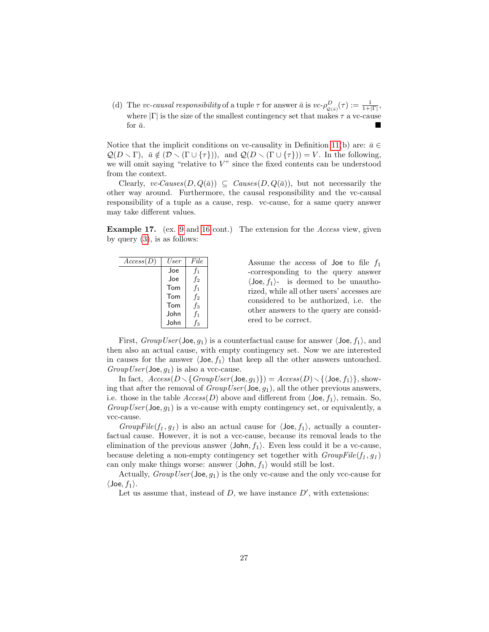(d) The vc-causal responsibility of a tuple  $\tau$  for answer  $\bar{a}$  is  $vc \rightarrow \rho_{\mathcal{Q}(\bar{a})}^D(\tau) := \frac{1}{1+|\Gamma|}$ , where  $|\Gamma|$  is the size of the smallest contingency set that makes  $\tau$  a vc-cause for  $\bar{a}$ .

Notice that the implicit conditions on vc-causality in Definition [11\(](#page-25-1)b) are:  $\bar{a} \in$  $\mathcal{Q}(D \setminus \Gamma)$ ,  $\bar{a} \notin (\mathcal{D} \setminus (\Gamma \cup \{\tau\}))$ , and  $\mathcal{Q}(D \setminus (\Gamma \cup \{\tau\})) = V$ . In the following, we will omit saying "relative to  $V$ " since the fixed contents can be understood from the context.

Clearly, vc-Causes $(D, Q(\bar{a})) \subseteq$  Causes $(D, Q(\bar{a}))$ , but not necessarily the other way around. Furthermore, the causal responsibility and the vc-causal responsibility of a tuple as a cause, resp. vc-cause, for a same query answer may take different values.

Example 17. (ex. [9](#page-19-3) and [16](#page-25-2) cont.) The extension for the *Access* view, given by query  $(3)$ , is as follows:

| Access(D) | User | File   |
|-----------|------|--------|
|           | Joe  | $f_1$  |
|           | Joe  | $f_2$  |
|           | Tom  | $f_1$  |
|           | Tom  | $f_2$  |
|           | Tom  | $f_3$  |
|           | John | $f_1$  |
|           | John | ք<br>3 |

Assume the access of Joe to file  $f_1$ -corresponding to the query answer  $\langle$ Joe,  $f_1$ }- is deemed to be unauthorized, while all other users' accesses are considered to be authorized, i.e. the other answers to the query are considered to be correct.

First,  $GroupUser($  Joe,  $g_1$ ) is a counterfactual cause for answer  $\langle$  Joe,  $f_1$ <sub>i</sub>, and then also an actual cause, with empty contingency set. Now we are interested in causes for the answer  $\langle$  Joe,  $f_1$  that keep all the other answers untouched.  $GroupUser(\textsf{Joe}, q_1)$  is also a vcc-cause.

In fact,  $Access(D \setminus \{GroupUser(\text{Joe}, g_1)\}) = Access(D) \setminus \{\text{Joe}, f_1\}\$ , showing that after the removal of  $GroupUser(\text{Joe}, g_1)$ , all the other previous answers, i.e. those in the table  $Access(D)$  above and different from  $\langle$  Joe,  $f_1$ }, remain. So,  $GroupUser(\text{Joe}, g_1)$  is a vc-cause with empty contingency set, or equivalently, a vcc-cause.

GroupFile(f<sub>1</sub>, g<sub>1</sub>) is also an actual cause for  $\langle$ Joe, f<sub>1</sub> $\rangle$ , actually a counterfactual cause. However, it is not a vcc-cause, because its removal leads to the elimination of the previous answer  $\langle$ John,  $f_1$ ). Even less could it be a vc-cause, because deleting a non-empty contingency set together with  $GroupFile(f_1, g_1)$ can only make things worse: answer  $\langle$  John,  $f_1$  would still be lost.

Actually,  $GroupUser(\text{Joe}, g_1)$  is the only vc-cause and the only vcc-cause for  $\langle$ Joe,  $f_1$ .

Let us assume that, instead of  $D$ , we have instance  $D'$ , with extensions: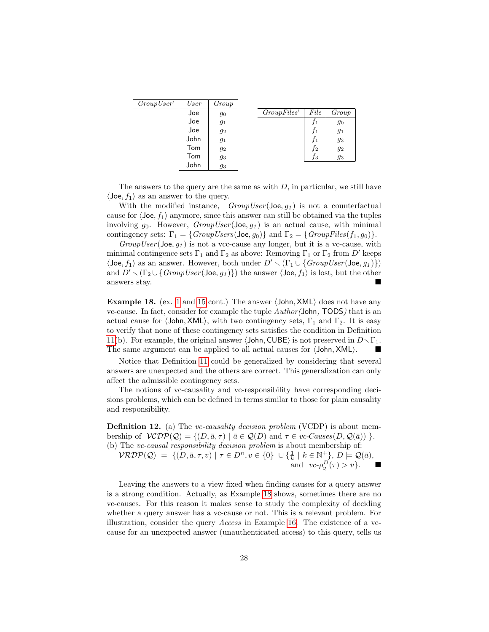| GroupUser' | User | Group |             |                |       |
|------------|------|-------|-------------|----------------|-------|
|            | Joe  | 90    | GroupFiles' | File           | Group |
|            | Joe  | 91    |             | J1             | 90    |
|            | Joe  | $g_2$ |             | J1             | $g_1$ |
|            | John | $g_1$ |             | J <sub>1</sub> | 93    |
|            | Tom  | 92    |             | $f_2$          | 92    |
|            | Tom  | 93    |             | Jз             | 93    |
|            | John | 93    |             |                |       |

The answers to the query are the same as with  $D$ , in particular, we still have  $\langle$ Joe,  $f_1 \rangle$  as an answer to the query.

With the modified instance,  $GroupUser($  Joe,  $g_1$ ) is not a counterfactual cause for  $\langle$ Joe,  $f_1$  anymore, since this answer can still be obtained via the tuples involving  $g_0$ . However,  $GroupUser($  Joe,  $g_1$ ) is an actual cause, with minimal contingency sets:  $\Gamma_1 = \{GroupUsers(\text{Joe}, g_0)\}$  and  $\Gamma_2 = \{GroupFiles(f_1, g_0)\}.$ 

 $GroupUser(\textsf{Joe}, g_1)$  is not a vcc-cause any longer, but it is a vc-cause, with minimal contingence sets  $\Gamma_1$  and  $\Gamma_2$  as above: Removing  $\Gamma_1$  or  $\Gamma_2$  from D' keeps  $\langle$ Joe,  $f_1 \rangle$  as an answer. However, both under  $D' \setminus (\Gamma_1 \cup \{GroupUser(\text{Joe}, g_1)\})$ and  $D' \setminus (\Gamma_2 \cup \{GroupUser(\text{Joe}, g_1)\})$  the answer  $\langle \text{Joe}, f_1 \rangle$  is lost, but the other answers stay.

<span id="page-27-0"></span>**Example [1](#page-6-3)8.** (ex. 1 and [15](#page-25-3) cont.) The answer  $\langle$  John, XML $\rangle$  does not have any vc-cause. In fact, consider for example the tuple Author(John, TODS) that is an actual cause for  $\langle$ John, XML $\rangle$ , with two contingency sets,  $\Gamma_1$  and  $\Gamma_2$ . It is easy to verify that none of these contingency sets satisfies the condition in Definition [11\(](#page-25-1)b). For example, the original answer  $\langle$ John, CUBE $\rangle$  is not preserved in  $D \setminus \Gamma_1$ . The same argument can be applied to all actual causes for  $\langle$  John, XML $\rangle$ .

Notice that Definition [11](#page-25-1) could be generalized by considering that several answers are unexpected and the others are correct. This generalization can only affect the admissible contingency sets.

The notions of vc-causality and vc-responsibility have corresponding decisions problems, which can be defined in terms similar to those for plain causality and responsibility.

<span id="page-27-1"></span>**Definition 12.** (a) The *vc-causality decision problem* (VCDP) is about membership of  $VCDP(Q) = \{(D, \bar{a}, \tau) | \bar{a} \in Q(D) \text{ and } \tau \in vc\text{-}Causes(D, Q(\bar{a})) \}.$ (b) The vc-causal responsibility decision problem is about membership of:

 $\mathcal{VRDP}(\mathcal{Q}) = \{ (D, \bar{a}, \tau, v) \mid \tau \in D^n, v \in \{0\} \cup \{\frac{1}{k} \mid k \in \mathbb{N}^+\}, D \models \mathcal{Q}(\bar{a}),$ and  $vc$ - $\rho_{\mathcal{Q}}^{\mathcal{D}}(\tau) > v$ .

Leaving the answers to a view fixed when finding causes for a query answer is a strong condition. Actually, as Example [18](#page-27-0) shows, sometimes there are no vc-causes. For this reason it makes sense to study the complexity of deciding whether a query answer has a vc-cause or not. This is a relevant problem. For illustration, consider the query Access in Example [16.](#page-25-2) The existence of a vccause for an unexpected answer (unauthenticated access) to this query, tells us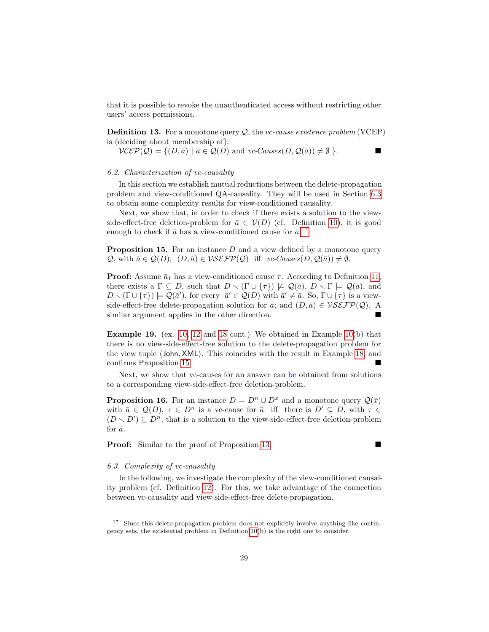that it is possible to revoke the unauthenticated access without restricting other users' access permissions.

<span id="page-28-3"></span>**Definition 13.** For a monotone query  $Q$ , the *vc-cause existence problem* (VCEP) is (deciding about membership of):

 $\mathcal{VCEP}(\mathcal{Q}) = \{ (D, \bar{a}) \mid \bar{a} \in \mathcal{Q}(D) \text{ and } vc\text{-}Causes(D, \mathcal{Q}(\bar{a})) \neq \emptyset \}.$ 

#### <span id="page-28-4"></span>6.2. Characterization of vc-causality

In this section we establish mutual reductions between the delete-propagation problem and view-conditioned QA-causality. They will be used in Section [6.3](#page-28-0) to obtain some complexity results for view-conditioned causality.

Next, we show that, in order to check if there exists a solution to the viewside-effect-free deletion-problem for  $\bar{a} \in V(D)$  (cf. Definition [10\)](#page-20-0), it is good enough to check if  $\bar{a}$  has a view-conditioned cause for  $\bar{a}$ <sup>[17](#page-28-1)</sup>

<span id="page-28-2"></span>**Proposition 15.** For an instance  $D$  and a view defined by a monotone query  $\mathcal{Q}$ , with  $\bar{a} \in \mathcal{Q}(D)$ ,  $(D, \bar{a}) \in \mathcal{VSEFP}(\mathcal{Q})$  iff vc-Causes $(D, \mathcal{Q}(\bar{a})) \neq \emptyset$ .

**Proof:** Assume  $\bar{a}_1$  has a view-conditioned cause  $\tau$ . According to Definition [11,](#page-25-1) there exists a  $\Gamma \subseteq D$ , such that  $D \setminus (\Gamma \cup \{\tau\}) \not\models \mathcal{Q}(\bar{a}), D \setminus \Gamma \models \mathcal{Q}(\bar{a}),$  and  $D \setminus (\Gamma \cup \{\tau\}) \models \mathcal{Q}(\bar{a}')$ , for every  $\bar{a}' \in \mathcal{Q}(D)$  with  $\bar{a}' \neq \bar{a}$ . So,  $\Gamma \cup \{\tau\}$  is a viewside-effect-free delete-propagation solution for  $\bar{a}$ ; and  $(D, \bar{a}) \in \mathcal{VSEFP}(\mathcal{Q})$ . A similar argument applies in the other direction.

Example 19. (ex. [10,](#page-20-1) [12](#page-22-2) and [18](#page-27-0) cont.) We obtained in Example [10\(](#page-20-1)b) that there is no view-side-effect-free solution to the delete-propagation problem for the view tuple  $\langle$  John, XML $\rangle$ . This coincides with the result in Example [18,](#page-27-0) and confirms Proposition [15.](#page-28-2)

Next, we show that vc-causes for an answer can be obtained from solutions to a corresponding view-side-effect-free deletion-problem.

**Proposition 16.** For an instance  $D = D^n \cup D^x$  and a monotone query  $\mathcal{Q}(\bar{x})$ with  $\bar{a} \in \mathcal{Q}(D)$ ,  $\tau \in D^n$  is a vc-cause for  $\bar{a}$  iff there is  $D' \subseteq D$ , with  $\tau \in$  $(D \setminus D') \subseteq D^n$ , that is a solution to the view-side-effect-free deletion-problem for  $\bar{a}$ .

**Proof:** Similar to the proof of Proposition [13.](#page-23-0)

## <span id="page-28-0"></span>6.3. Complexity of vc-causality

In the following, we investigate the complexity of the view-conditioned causality problem (cf. Definition [12\)](#page-27-1). For this, we take advantage of the connection between vc-causality and view-side-effect-free delete-propagation.

<span id="page-28-1"></span><sup>&</sup>lt;sup>17</sup> Since this delete-propagation problem does not explicitly involve anything like contingency sets, the existential problem in Definition [10\(](#page-20-0)b) is the right one to consider.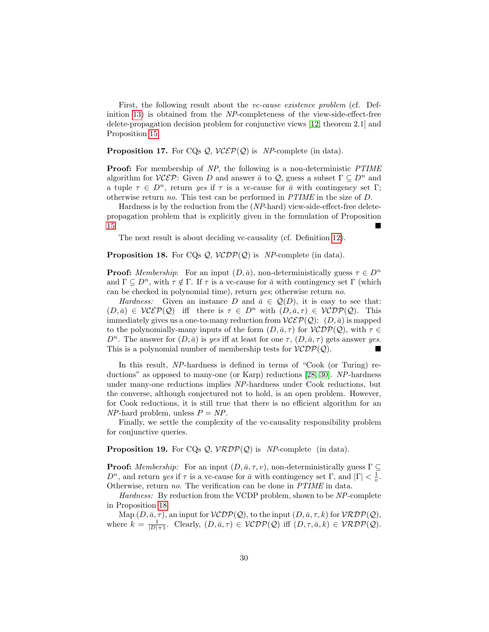First, the following result about the *vc-cause existence problem* (cf. Definition [13\)](#page-28-3) is obtained from the NP-completeness of the view-side-effect-free delete-propagation decision problem for conjunctive views [\[12,](#page-41-5) theorem 2.1] and Proposition [15.](#page-28-2)

## **Proposition 17.** For CQs  $Q$ ,  $VCEP(Q)$  is NP-complete (in data).

**Proof:** For membership of NP, the following is a non-deterministic PTIME algorithm for  $VC\mathcal{E}P$ : Given D and answer  $\bar{a}$  to Q, guess a subset  $\Gamma \subseteq D^n$  and a tuple  $\tau \in D^n$ , return yes if  $\tau$  is a vc-cause for  $\bar{a}$  with contingency set  $\Gamma$ ; otherwise return no. This test can be performed in PTIME in the size of D.

Hardness is by the reduction from the (NP-hard) view-side-effect-free deletepropagation problem that is explicitly given in the formulation of Proposition [15.](#page-28-2)

The next result is about deciding vc-causality (cf. Definition [12\)](#page-27-1).

## <span id="page-29-0"></span>**Proposition 18.** For CQs  $Q$ ,  $VCDP(Q)$  is NP-complete (in data).

**Proof:** Membership: For an input  $(D, \bar{a})$ , non-deterministically guess  $\tau \in D^n$ and  $\Gamma \subseteq D^n$ , with  $\tau \notin \Gamma$ . If  $\tau$  is a vc-cause for  $\bar{a}$  with contingency set  $\Gamma$  (which can be checked in polynomial time), return yes; otherwise return no.

Hardness: Given an instance D and  $\bar{a} \in \mathcal{Q}(D)$ , it is easy to see that:  $(D, \bar{a}) \in \mathcal{VCEP}(\mathcal{Q})$  iff there is  $\tau \in D^n$  with  $(D, \bar{a}, \tau) \in \mathcal{VCDP}(\mathcal{Q})$ . This immediately gives us a one-to-many reduction from  $\mathcal{VCEP}(\mathcal{Q})$ :  $(D,\bar{a})$  is mapped to the polynomially-many inputs of the form  $(D, \bar{a}, \tau)$  for  $VCDP(Q)$ , with  $\tau \in$  $D^n$ . The answer for  $(D, \bar{a})$  is yes iff at least for one  $\tau$ ,  $(D, \bar{a}, \tau)$  gets answer yes. This is a polynomial number of membership tests for  $VCDP(Q)$ .

In this result, NP-hardness is defined in terms of "Cook (or Turing) reductions" as opposed to many-one (or Karp) reductions [\[28,](#page-42-9) [30\]](#page-42-10). NP-hardness under many-one reductions implies NP-hardness under Cook reductions, but the converse, although conjectured not to hold, is an open problem. However, for Cook reductions, it is still true that there is no efficient algorithm for an  $NP$ -hard problem, unless  $P = NP$ .

Finally, we settle the complexity of the vc-causality responsibility problem for conjunctive queries.

## <span id="page-29-1"></span>**Proposition 19.** For CQs  $Q$ ,  $V\mathcal{R}DP(Q)$  is NP-complete (in data).

**Proof:** Membership: For an input  $(D, \bar{a}, \tau, v)$ , non-deterministically guess  $\Gamma \subseteq$  $D^n$ , and return yes if  $\tau$  is a vc-cause for  $\bar{a}$  with contingency set  $\Gamma$ , and  $|\Gamma| < \frac{1}{v}$ . Otherwise, return no. The verification can be done in PTIME in data.

Hardness: By reduction from the VCDP problem, shown to be NP-complete in Proposition [18.](#page-29-0)

Map  $(D, \bar{a}, \tau)$ , an input for  $VCDP(Q)$ , to the input  $(D, \bar{a}, \tau, k)$  for  $VRDP(Q)$ , where  $k = \frac{1}{|D|+1}$ . Clearly,  $(D, \bar{a}, \tau) \in VCDP(\mathcal{Q})$  iff  $(D, \tau, \bar{a}, k) \in VRDP(\mathcal{Q})$ .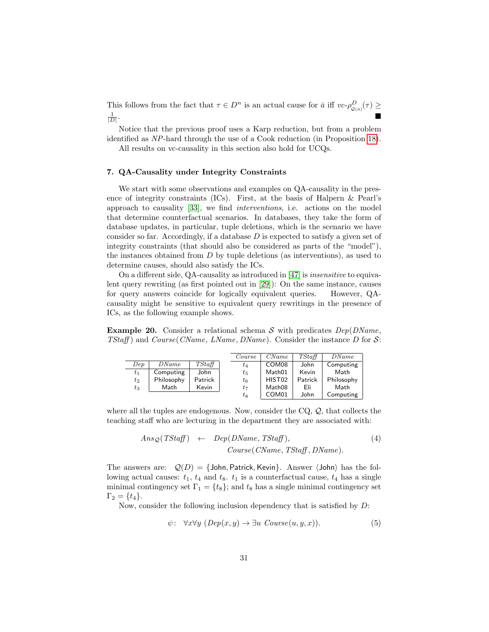This follows from the fact that  $\tau \in D^n$  is an actual cause for  $\bar{a}$  iff  $vc \text{-} \rho^D_{\mathcal{Q}(\bar{a})}(\tau) \geq$  $\frac{1}{|D|}$ .

Notice that the previous proof uses a Karp reduction, but from a problem identified as NP-hard through the use of a Cook reduction (in Proposition [18\)](#page-29-0).

All results on vc-causality in this section also hold for UCQs.

#### <span id="page-30-0"></span>7. QA-Causality under Integrity Constraints

We start with some observations and examples on QA-causality in the presence of integrity constraints (ICs). First, at the basis of Halpern & Pearl's approach to causality  $|33|$ , we find *interventions*, i.e. actions on the model that determine counterfactual scenarios. In databases, they take the form of database updates, in particular, tuple deletions, which is the scenario we have consider so far. Accordingly, if a database  $D$  is expected to satisfy a given set of integrity constraints (that should also be considered as parts of the "model"), the instances obtained from  $D$  by tuple deletions (as interventions), as used to determine causes, should also satisfy the ICs.

On a different side, QA-causality as introduced in [\[47\]](#page-43-2) is insensitive to equivalent query rewriting (as first pointed out in [\[29\]](#page-42-11)): On the same instance, causes for query answers coincide for logically equivalent queries. However, QAcausality might be sensitive to equivalent query rewritings in the presence of ICs, as the following example shows.

<span id="page-30-1"></span>**Example 20.** Consider a relational schema S with predicates  $Dep(DName,$ TStaff) and Course (CName, LName, DName). Consider the instance D for  $\mathcal{S}$ :

|       |            |         | Course | CName              | TStaff  | DName      |  |
|-------|------------|---------|--------|--------------------|---------|------------|--|
| Dep   | DName      | TStaff  | $t_4$  | COM <sub>08</sub>  | John    | Computing  |  |
| $t_1$ | Computing  | John    | $t_5$  | Math01             | Kevin   | Math       |  |
| $t_2$ | Philosophy | Patrick | $t_6$  | HIST <sub>02</sub> | Patrick | Philosophy |  |
| $t_3$ | Math       | Kevin   | $t_7$  | Math08             | Eli     | Math       |  |
|       |            |         | $t_8$  | COM <sub>01</sub>  | John    | Computing  |  |

where all the tuples are endogenous. Now, consider the CQ,  $Q$ , that collects the teaching staff who are lecturing in the department they are associated with:

<span id="page-30-2"></span>
$$
Ans_Q(TStaff) \leftarrow Dep(DName, TStaff), \qquad (4)
$$

$$
Course(CName, TStaff, DName).
$$

The answers are:  $Q(D) = \{\text{John}, \text{Patrick}, \text{Keyin}\}.$  Answer  $\langle \text{John} \rangle$  has the following actual causes:  $t_1$ ,  $t_4$  and  $t_8$ .  $t_1$  is a counterfactual cause,  $t_4$  has a single minimal contingency set  $\Gamma_1 = \{t_8\}$ ; and  $t_8$  has a single minimal contingency set  $\Gamma_2 = \{t_4\}.$ 

Now, consider the following inclusion dependency that is satisfied by D:

<span id="page-30-3"></span>
$$
\psi: \ \ \forall x \forall y \ (Dep(x, y) \to \exists u \ Convse(u, y, x)). \tag{5}
$$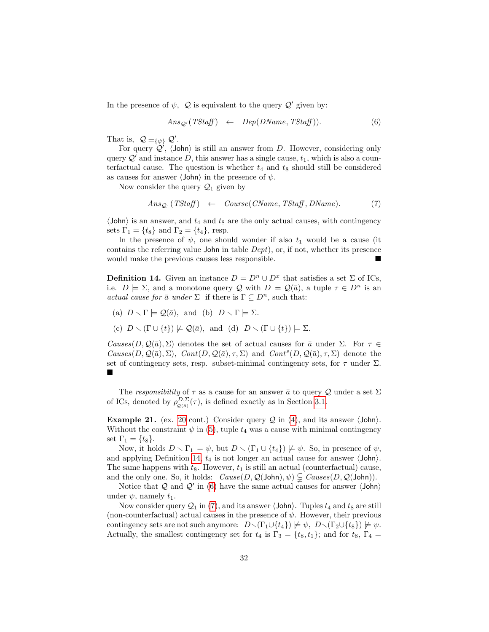In the presence of  $\psi$ ,  $\mathcal{Q}$  is equivalent to the query  $\mathcal{Q}'$  given by:

<span id="page-31-1"></span>
$$
Ans_{\mathcal{Q}'}(TStaff) \leftarrow Dep(DName, TStaff)). \tag{6}
$$

That is,  $\mathcal{Q} \equiv_{\{\psi\}} \mathcal{Q}'$ .

For query  $\mathcal{Q}'$ ,  $\langle$  John $\rangle$  is still an answer from D. However, considering only query  $\mathcal{Q}'$  and instance D, this answer has a single cause,  $t_1$ , which is also a counterfactual cause. The question is whether  $t_4$  and  $t_8$  should still be considered as causes for answer  $\langle$ John $\rangle$  in the presence of  $\psi$ .

Now consider the query  $\mathcal{Q}_1$  given by

<span id="page-31-2"></span>
$$
Ans_{\mathcal{Q}_1}(TStaff) \leftarrow Course(CName, TStaff, DName). \qquad (7)
$$

 $\langle$ John $\rangle$  is an answer, and  $t_4$  and  $t_8$  are the only actual causes, with contingency sets  $\Gamma_1 = \{t_8\}$  and  $\Gamma_2 = \{t_4\}$ , resp.

In the presence of  $\psi$ , one should wonder if also  $t_1$  would be a cause (it contains the referring value John in table Dept), or, if not, whether its presence would make the previous causes less responsible.

<span id="page-31-0"></span>**Definition 14.** Given an instance  $D = D^n \cup D^x$  that satisfies a set  $\Sigma$  of ICs, i.e.  $D \models \Sigma$ , and a monotone query Q with  $D \models \mathcal{Q}(\bar{a})$ , a tuple  $\tau \in D^n$  is an actual cause for  $\bar{a}$  under  $\Sigma$  if there is  $\Gamma \subseteq D^n$ , such that:

- (a)  $D \setminus \Gamma \models \mathcal{Q}(\bar{a})$ , and (b)  $D \setminus \Gamma \models \Sigma$ .
- (c)  $D \setminus (\Gamma \cup \{t\}) \not\models \mathcal{Q}(\bar{a}),$  and (d)  $D \setminus (\Gamma \cup \{t\}) \models \Sigma.$

Causes(D, Q( $\bar{a}$ ), Σ) denotes the set of actual causes for  $\bar{a}$  under Σ. For  $\tau \in$  $Causes(D, \mathcal{Q}(\bar{a}), \Sigma)$ ,  $Cont(D, \mathcal{Q}(\bar{a}), \tau, \Sigma)$  and  $Cont^s(D, \mathcal{Q}(\bar{a}), \tau, \Sigma)$  denote the set of contingency sets, resp. subset-minimal contingency sets, for  $\tau$  under  $\Sigma$ . ■

The responsibility of  $\tau$  as a cause for an answer  $\bar{a}$  to query Q under a set  $\Sigma$ of ICs, denoted by  $\rho_{\mathcal{Q}(\bar{a})}^{D,\Sigma}(\tau)$ , is defined exactly as in Section [3.1.](#page-5-1)

<span id="page-31-3"></span>**Example 21.** (ex. [20](#page-30-1) cont.) Consider query  $Q$  in [\(4\)](#page-30-2), and its answer  $\langle$  John $\rangle$ . Without the constraint  $\psi$  in [\(5\)](#page-30-3), tuple  $t_4$  was a cause with minimal contingency set  $\Gamma_1 = \{t_8\}.$ 

Now, it holds  $D \setminus \Gamma_1 \models \psi$ , but  $D \setminus (\Gamma_1 \cup \{t_4\}) \not\models \psi$ . So, in presence of  $\psi$ , and applying Definition [14,](#page-31-0)  $t_4$  is not longer an actual cause for answer  $\langle$ John $\rangle$ . The same happens with  $t_8$ . However,  $t_1$  is still an actual (counterfactual) cause, and the only one. So, it holds:  $Cause(D,Q(John),\psi) \subsetneq \text{Causes}(D,Q(John)).$ 

Notice that Q and Q' in [\(6\)](#page-31-1) have the same actual causes for answer  $\langle$  John $\rangle$ under  $\psi$ , namely  $t_1$ .

Now consider query  $\mathcal{Q}_1$  in [\(7\)](#page-31-2), and its answer  $\langle$  John $\rangle$ . Tuples  $t_4$  and  $t_8$  are still (non-counterfactual) actual causes in the presence of  $\psi$ . However, their previous contingency sets are not such anymore:  $D \setminus (\Gamma_1 \cup \{t_4\}) \not\models \psi, D \setminus (\Gamma_2 \cup \{t_8\}) \not\models \psi.$ Actually, the smallest contingency set for  $t_4$  is  $\Gamma_3 = \{t_8, t_1\}$ ; and for  $t_8$ ,  $\Gamma_4 =$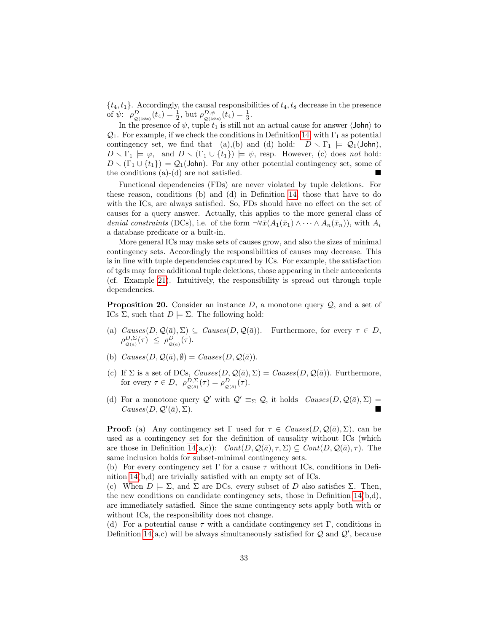$\{t_4, t_1\}$ . Accordingly, the causal responsibilities of  $t_4, t_8$  decrease in the presence of  $\psi$ :  $\rho_{\mathcal{Q}(\text{John})}^D(t_4) = \frac{1}{2}$ , but  $\rho_{\mathcal{Q}(\text{John})}^{D,\psi}(t_4) = \frac{1}{3}$ .

In the presence of  $\psi$ , tuple  $t_1$  is still not an actual cause for answer  $\langle$ John $\rangle$  to  $\mathcal{Q}_1$ . For example, if we check the conditions in Definition [14,](#page-31-0) with  $\Gamma_1$  as potential contingency set, we find that (a),(b) and (d) hold:  $D \setminus \Gamma_1 \models Q_1(\text{John})$ ,  $D \setminus \Gamma_1 \models \varphi$ , and  $D \setminus (\Gamma_1 \cup \{t_1\}) \models \psi$ , resp. However, (c) does not hold:  $D \setminus (\Gamma_1 \cup \{t_1\}) \models \mathcal{Q}_1(\text{John})$ . For any other potential contingency set, some of the conditions (a)-(d) are not satisfied.

Functional dependencies (FDs) are never violated by tuple deletions. For these reason, conditions (b) and (d) in Definition [14,](#page-31-0) those that have to do with the ICs, are always satisfied. So, FDs should have no effect on the set of causes for a query answer. Actually, this applies to the more general class of denial constraints (DCs), i.e. of the form  $\neg \forall \bar{x}(A_1(\bar{x}_1) \wedge \cdots \wedge A_n(\bar{x}_n))$ , with  $A_i$ a database predicate or a built-in.

More general ICs may make sets of causes grow, and also the sizes of minimal contingency sets. Accordingly the responsibilities of causes may decrease. This is in line with tuple dependencies captured by ICs. For example, the satisfaction of tgds may force additional tuple deletions, those appearing in their antecedents (cf. Example [21\)](#page-31-3). Intuitively, the responsibility is spread out through tuple dependencies.

**Proposition 20.** Consider an instance D, a monotone query  $\mathcal{Q}$ , and a set of ICs Σ, such that  $D \models \Sigma$ . The following hold:

- (a)  $Causes(D, \mathcal{Q}(\bar{a}), \Sigma) \subseteq Causes(D, \mathcal{Q}(\bar{a}))$ . Furthermore, for every  $\tau \in D$ ,  $\rho_{\mathcal{Q}(\bar{a})}^{D,\Sigma}(\tau) \leq \rho_{\mathcal{Q}(\bar{a})}^D(\tau).$
- (b)  $Causes(D, \mathcal{Q}(\bar{a}), \emptyset) = Causes(D, \mathcal{Q}(\bar{a})).$
- (c) If  $\Sigma$  is a set of DCs,  $Causes(D, \mathcal{Q}(\bar{a}), \Sigma) = Causes(D, \mathcal{Q}(\bar{a}))$ . Furthermore, for every  $\tau \in D$ ,  $\rho_{\mathcal{Q}(\bar{a})}^{D,\Sigma}(\tau) = \rho_{\mathcal{Q}(\bar{a})}^{D}(\tau)$ .
- (d) For a monotone query  $\mathcal{Q}'$  with  $\mathcal{Q}' \equiv_{\Sigma} \mathcal{Q}$ , it holds  $Causes(D, \mathcal{Q}(\bar{a}), \Sigma)$  $Causes(D, \mathcal{Q}'(\bar{a}), \Sigma).$  $(\bar{a}), \Sigma$ ).

**Proof:** (a) Any contingency set Γ used for  $\tau \in \text{Causes}(D, \mathcal{Q}(\bar{a}), \Sigma)$ , can be used as a contingency set for the definition of causality without ICs (which are those in Definition [14\(](#page-31-0)a,c)):  $Cont(D, \mathcal{Q}(\bar{a}), \tau, \Sigma) \subseteq Cont(D, \mathcal{Q}(\bar{a}), \tau)$ . The same inclusion holds for subset-minimal contingency sets.

(b) For every contingency set  $\Gamma$  for a cause  $\tau$  without ICs, conditions in Definition [14\(](#page-31-0)b,d) are trivially satisfied with an empty set of ICs.

(c) When  $D \models \Sigma$ , and  $\Sigma$  are DCs, every subset of D also satisfies  $\Sigma$ . Then, the new conditions on candidate contingency sets, those in Definition [14\(](#page-31-0)b,d), are immediately satisfied. Since the same contingency sets apply both with or without ICs, the responsibility does not change.

(d) For a potential cause  $\tau$  with a candidate contingency set  $\Gamma$ , conditions in Definition [14\(](#page-31-0)a,c) will be always simultaneously satisfied for  $Q$  and  $Q'$ , because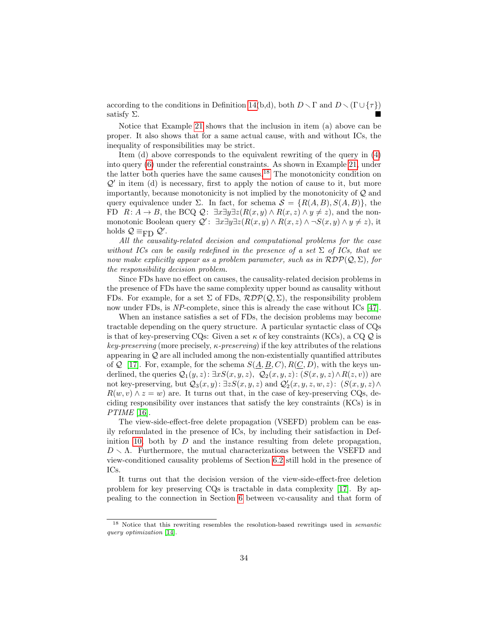according to the conditions in Definition [14\(](#page-31-0)b,d), both  $D \setminus \Gamma$  and  $D \setminus (\Gamma \cup \{\tau\})$ satisfy  $\Sigma$ .

Notice that Example [21](#page-31-3) shows that the inclusion in item (a) above can be proper. It also shows that for a same actual cause, with and without ICs, the inequality of responsibilities may be strict.

Item (d) above corresponds to the equivalent rewriting of the query in [\(4\)](#page-30-2) into query [\(6\)](#page-31-1) under the referential constraints. As shown in Example [21,](#page-31-3) under the latter both queries have the same causes.<sup>[18](#page-33-0)</sup> The monotonicity condition on  $Q'$  in item (d) is necessary, first to apply the notion of cause to it, but more importantly, because monotonicity is not implied by the monotonicity of Q and query equivalence under  $\Sigma$ . In fact, for schema  $S = \{R(A, B), S(A, B)\}\,$ , the FD  $R: A \to B$ , the BCQ  $\mathcal{Q}: \exists x \exists y \exists z (R(x, y) \land R(x, z) \land y \neq z)$ , and the nonmonotonic Boolean query  $\mathcal{Q}'$ :  $\exists x \exists y \exists z (R(x, y) \land R(x, z) \land \neg S(x, y) \land y \neq z)$ , it holds  $\mathcal{Q} \equiv_{\text{FD}} \mathcal{Q}'$ .

All the causality-related decision and computational problems for the case without ICs can be easily redefined in the presence of a set  $\Sigma$  of ICs, that we now make explicitly appear as a problem parameter, such as in  $RDP(Q, \Sigma)$ , for the responsibility decision problem.

Since FDs have no effect on causes, the causality-related decision problems in the presence of FDs have the same complexity upper bound as causality without FDs. For example, for a set  $\Sigma$  of FDs,  $RDP(Q, \Sigma)$ , the responsibility problem now under FDs, is NP-complete, since this is already the case without ICs [\[47\]](#page-43-2).

When an instance satisfies a set of FDs, the decision problems may become tractable depending on the query structure. A particular syntactic class of CQs is that of key-preserving CQs: Given a set  $\kappa$  of key constraints (KCs), a CQ  $\mathcal{Q}$  is key-preserving (more precisely,  $\kappa$ -preserving) if the key attributes of the relations appearing in  $Q$  are all included among the non-existentially quantified attributes of Q [\[17\]](#page-41-8). For, example, for the schema  $S(\underline{A}, \underline{B}, C), R(\underline{C}, D)$ , with the keys underlined, the queries  $Q_1(y, z): \exists x S(x, y, z), Q_2(x, y, z): (S(x, y, z) \wedge R(z, v))$  are not key-preserving, but  $Q_3(x, y)$ :  $\exists z S(x, y, z)$  and  $Q'_2(x, y, z, w, z)$ :  $(S(x, y, z) \wedge$  $R(w, v) \wedge z = w$  are. It turns out that, in the case of key-preserving CQs, deciding responsibility over instances that satisfy the key constraints (KCs) is in PTIME [\[16\]](#page-41-9).

The view-side-effect-free delete propagation (VSEFD) problem can be easily reformulated in the presence of ICs, by including their satisfaction in Def-inition [10,](#page-20-0) both by  $D$  and the instance resulting from delete propagation,  $D \setminus \Lambda$ . Furthermore, the mutual characterizations between the VSEFD and view-conditioned causality problems of Section [6.2](#page-28-4) still hold in the presence of ICs.

It turns out that the decision version of the view-side-effect-free deletion problem for key preserving CQs is tractable in data complexity [\[17\]](#page-41-8). By appealing to the connection in Section [6](#page-25-0) between vc-causality and that form of

<span id="page-33-0"></span><sup>&</sup>lt;sup>18</sup> Notice that this rewriting resembles the resolution-based rewritings used in *semantic* query optimization [\[14\]](#page-41-10).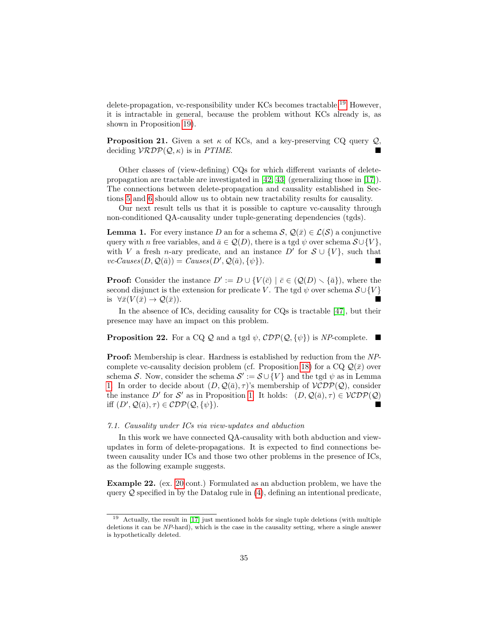delete-propagation, vc-responsibility under KCs becomes tractable.[19](#page-34-0) However, it is intractable in general, because the problem without KCs already is, as shown in Proposition [19\)](#page-29-1).

**Proposition 21.** Given a set  $\kappa$  of KCs, and a key-preserving CQ query  $\mathcal{Q}$ , deciding  $V\mathcal{R}DP(Q, \kappa)$  is in PTIME.

Other classes of (view-defining) CQs for which different variants of deletepropagation are tractable are investigated in [\[42,](#page-43-7) [43\]](#page-43-8) (generalizing those in [\[17\]](#page-41-8)). The connections between delete-propagation and causality established in Sections [5](#page-18-0) and [6](#page-25-0) should allow us to obtain new tractability results for causality.

Our next result tells us that it is possible to capture vc-causality through non-conditioned QA-causality under tuple-generating dependencies (tgds).

<span id="page-34-1"></span>**Lemma 1.** For every instance D an for a schema  $\mathcal{S}, \mathcal{Q}(\bar{x}) \in \mathcal{L}(\mathcal{S})$  a conjunctive query with n free variables, and  $\bar{a} \in \mathcal{Q}(D)$ , there is a tgd  $\psi$  over schema  $\mathcal{S} \cup \{V\}$ , with V a fresh n-ary predicate, and an instance  $D'$  for  $S \cup \{V\}$ , such that  $vc\text{-}Causes(D,\mathcal{Q}(\bar{a})) = \text{Causes}(D',\mathcal{Q}(\bar{a}), \{\psi\}).$ 

**Proof:** Consider the instance  $D' := D \cup \{V(\bar{c}) \mid \bar{c} \in (Q(D) \setminus {\bar{a}}\}\)$ , where the second disjunct is the extension for predicate V. The tgd  $\psi$  over schema  $\mathcal{S} \cup \{V\}$ is  $\forall \bar{x}(V(\bar{x}) \rightarrow \mathcal{Q}(\bar{x})).$ 

In the absence of ICs, deciding causality for CQs is tractable [\[47\]](#page-43-2), but their presence may have an impact on this problem.

**Proposition 22.** For a CQ Q and a tgd  $\psi$ ,  $\mathcal{CDP}(\mathcal{Q}, \{\psi\})$  is NP-complete.

Proof: Membership is clear. Hardness is established by reduction from the NP-complete vc-causality decision problem (cf. Proposition [18\)](#page-29-0) for a CQ  $\mathcal{Q}(\bar{x})$  over schema S. Now, consider the schema  $S' := S \cup \{V\}$  and the tgd  $\psi$  as in Lemma [1.](#page-34-1) In order to decide about  $(D, \mathcal{Q}(\bar{a}), \tau)$ 's membership of  $VCDP(\mathcal{Q})$ , consider the instance D' for S' as in Proposition [1.](#page-34-1) It holds:  $(D, \mathcal{Q}(\bar{a}), \tau) \in VCDP(\mathcal{Q})$ iff  $(D', Q(\bar{a}), \tau) \in \mathcal{CDP}(\mathcal{Q}, \{\psi\}).$ 

## <span id="page-34-2"></span>7.1. Causality under ICs via view-updates and abduction

In this work we have connected QA-causality with both abduction and viewupdates in form of delete-propagations. It is expected to find connections between causality under ICs and those two other problems in the presence of ICs, as the following example suggests.

Example 22. (ex. [20](#page-30-1) cont.) Formulated as an abduction problem, we have the query  $\mathcal Q$  specified in by the Datalog rule in [\(4\)](#page-30-2), defining an intentional predicate,

<span id="page-34-0"></span><sup>19</sup> Actually, the result in [\[17\]](#page-41-8) just mentioned holds for single tuple deletions (with multiple deletions it can be NP-hard), which is the case in the causality setting, where a single answer is hypothetically deleted.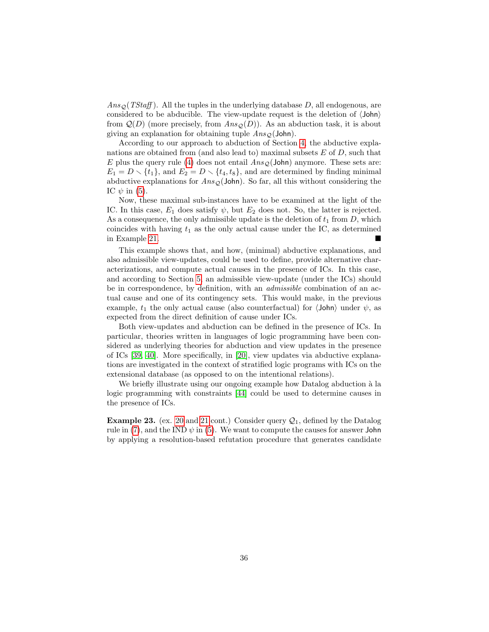$Ans_{\mathcal{Q}}(TStaff)$ . All the tuples in the underlying database D, all endogenous, are considered to be abducible. The view-update request is the deletion of  $\langle John \rangle$ from  $\mathcal{Q}(D)$  (more precisely, from  $Ans<sub>Q</sub>(D)$ ). As an abduction task, it is about giving an explanation for obtaining tuple  $Ans<sub>O</sub>(John)$ .

According to our approach to abduction of Section [4,](#page-9-0) the abductive explanations are obtained from (and also lead to) maximal subsets  $E$  of  $D$ , such that E plus the query rule [\(4\)](#page-30-2) does not entail  $Ans<sub>O</sub>(John)$  anymore. These sets are:  $E_1 = D \setminus \{t_1\}$ , and  $E_2 = D \setminus \{t_4, t_8\}$ , and are determined by finding minimal abductive explanations for  $Ans_0$ (John). So far, all this without considering the IC  $\psi$  in [\(5\)](#page-30-3).

Now, these maximal sub-instances have to be examined at the light of the IC. In this case,  $E_1$  does satisfy  $\psi$ , but  $E_2$  does not. So, the latter is rejected. As a consequence, the only admissible update is the deletion of  $t_1$  from  $D$ , which coincides with having  $t_1$  as the only actual cause under the IC, as determined in Example [21.](#page-31-3)

This example shows that, and how, (minimal) abductive explanations, and also admissible view-updates, could be used to define, provide alternative characterizations, and compute actual causes in the presence of ICs. In this case, and according to Section [5,](#page-18-0) an admissible view-update (under the ICs) should be in correspondence, by definition, with an *admissible* combination of an actual cause and one of its contingency sets. This would make, in the previous example,  $t_1$  the only actual cause (also counterfactual) for  $\langle$ John<sub>i</sub> under  $\psi$ , as expected from the direct definition of cause under ICs.

Both view-updates and abduction can be defined in the presence of ICs. In particular, theories written in languages of logic programming have been considered as underlying theories for abduction and view updates in the presence of ICs [\[39,](#page-43-11) [40\]](#page-43-12). More specifically, in [\[20\]](#page-42-12), view updates via abductive explanations are investigated in the context of stratified logic programs with ICs on the extensional database (as opposed to on the intentional relations).

We briefly illustrate using our ongoing example how Datalog abduction à la logic programming with constraints [\[44\]](#page-43-13) could be used to determine causes in the presence of ICs.

<span id="page-35-0"></span>**Example 23.** (ex. [20](#page-30-1) and [21](#page-31-3) cont.) Consider query  $\mathcal{Q}_1$ , defined by the Datalog rule in [\(7\)](#page-31-2), and the IND  $\psi$  in [\(5\)](#page-30-3). We want to compute the causes for answer John by applying a resolution-based refutation procedure that generates candidate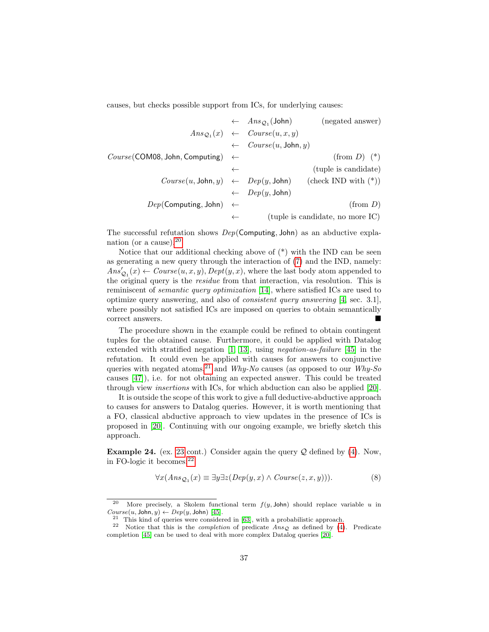causes, but checks possible support from ICs, for underlying causes:

|                                                 |              | $\leftarrow$ $Ans_{\mathcal{Q}_1}(\text{John})$     | (negated answer)                                                  |
|-------------------------------------------------|--------------|-----------------------------------------------------|-------------------------------------------------------------------|
|                                                 |              | $Ans_{\mathcal{O}_1}(x) \leftarrow Course(u, x, y)$ |                                                                   |
|                                                 |              | $\leftarrow \quad Course(u, \text{John}, y)$        |                                                                   |
| $Course$ (COM08, John, Computing) $\leftarrow$  |              |                                                     | $(\text{from } D)$ (*)                                            |
|                                                 | $\leftarrow$ |                                                     | (tuple is candidate)                                              |
|                                                 |              |                                                     | $Course(u, John, y) \leftarrow Dep(y, John)$ (check IND with (*)) |
|                                                 |              | $\leftarrow \quad \text{Dep}(y, \text{John})$       |                                                                   |
| $Dep(\text{Computing}, \text{John}) \leftarrow$ |              |                                                     | (from D)                                                          |
|                                                 | $\leftarrow$ |                                                     | (tuple is candidate, no more IC)                                  |

The successful refutation shows  $Dep(Computing, John)$  as an abductive explanation (or a cause).[20](#page-36-0)

Notice that our additional checking above of  $(*)$  with the IND can be seen as generating a new query through the interaction of [\(7\)](#page-31-2) and the IND, namely:  $Ans'_{\mathcal{Q}_1}(x) \leftarrow Course(u, x, y), Dept(y, x),$  where the last body atom appended to the original query is the residue from that interaction, via resolution. This is reminiscent of semantic query optimization [\[14\]](#page-41-10), where satisfied ICs are used to optimize query answering, and also of consistent query answering [\[4,](#page-40-0) sec. 3.1], where possibly not satisfied ICs are imposed on queries to obtain semantically correct answers.

The procedure shown in the example could be refined to obtain contingent tuples for the obtained cause. Furthermore, it could be applied with Datalog extended with stratified negation [\[1,](#page-40-1) [13\]](#page-41-4), using negation-as-failure [\[45\]](#page-43-14) in the refutation. It could even be applied with causes for answers to conjunctive queries with negated atoms,<sup>[21](#page-36-1)</sup> and Why-No causes (as opposed to our Why-So causes [\[47\]](#page-43-2)), i.e. for not obtaining an expected answer. This could be treated through view insertions with ICs, for which abduction can also be applied [\[20\]](#page-42-12).

It is outside the scope of this work to give a full deductive-abductive approach to causes for answers to Datalog queries. However, it is worth mentioning that a FO, classical abductive approach to view updates in the presence of ICs is proposed in [\[20\]](#page-42-12). Continuing with our ongoing example, we briefly sketch this approach.

**Example 24.** (ex. [23](#page-35-0) cont.) Consider again the query  $Q$  defined by [\(4\)](#page-30-2). Now, in FO-logic it becomes:[22](#page-36-2)

<span id="page-36-3"></span>
$$
\forall x (Ans_{\mathcal{Q}_1}(x) \equiv \exists y \exists z (Dep(y, x) \land Course(z, x, y))). \tag{8}
$$

<span id="page-36-0"></span><sup>&</sup>lt;sup>20</sup> More precisely, a Skolem functional term  $f(y, \text{John})$  should replace variable u in  $Course(u, John, y) \leftarrow Dep(y, John)$  [\[45\]](#page-43-14).

<span id="page-36-2"></span><span id="page-36-1"></span> $21$  This kind of queries were considered in [\[63\]](#page-44-6), with a probabilistic approach.

<sup>&</sup>lt;sup>22</sup> Notice that this is the *completion* of predicate  $Ans_Q$  as defined by [\(4\)](#page-30-2). Predicate completion [\[45\]](#page-43-14) can be used to deal with more complex Datalog queries [\[20\]](#page-42-12).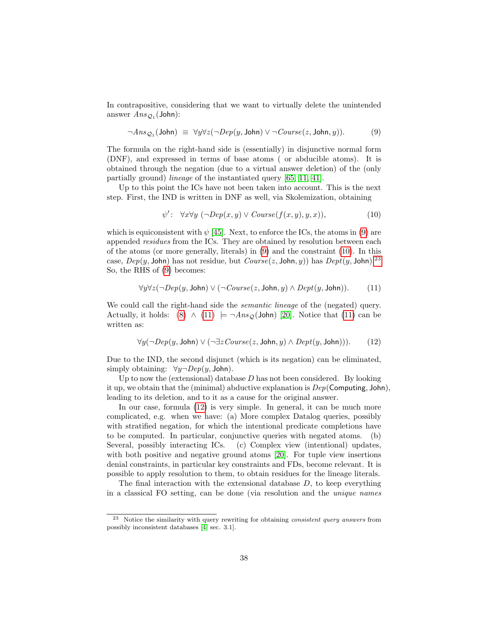In contrapositive, considering that we want to virtually delete the unintended answer  $Ans_{\mathcal{Q}_1}(\text{John})$ :

<span id="page-37-0"></span>
$$
\neg Ans_{\mathcal{Q}_1}(\text{John}) \equiv \forall y \forall z (\neg Dep(y, \text{John}) \lor \neg Course(z, \text{John}, y)). \tag{9}
$$

The formula on the right-hand side is (essentially) in disjunctive normal form (DNF), and expressed in terms of base atoms ( or abducible atoms). It is obtained through the negation (due to a virtual answer deletion) of the (only partially ground) lineage of the instantiated query [\[65,](#page-44-7) [11,](#page-41-11) [41\]](#page-43-15).

Up to this point the ICs have not been taken into account. This is the next step. First, the IND is written in DNF as well, via Skolemization, obtaining

<span id="page-37-3"></span><span id="page-37-1"></span>
$$
\psi': \quad \forall x \forall y \ (\neg Dep(x, y) \lor Course(f(x, y), y, x)), \tag{10}
$$

which is equiconsistent with  $\psi$  [\[45\]](#page-43-14). Next, to enforce the ICs, the atoms in [\(9\)](#page-37-0) are appended residues from the ICs. They are obtained by resolution between each of the atoms (or more generally, literals) in [\(9\)](#page-37-0) and the constraint [\(10\)](#page-37-1). In this case,  $Dep(y, John)$  has not residue, but  $Course(z, John, y)$  has  $Depth(y, John)$ .<sup>[23](#page-37-2)</sup> So, the RHS of [\(9\)](#page-37-0) becomes:

$$
\forall y \forall z (\neg Dep(y, \text{John}) \lor (\neg Course(z, \text{John}, y) \land Dept(y, \text{John})). \tag{11}
$$

We could call the right-hand side the *semantic lineage* of the (negated) query. Actually, it holds: [\(8\)](#page-36-3)  $\wedge$  [\(11\)](#page-37-3)  $\models \neg Ans_{\mathcal{O}}(John)$  [\[20\]](#page-42-12). Notice that [\(11\)](#page-37-3) can be written as:

<span id="page-37-4"></span>
$$
\forall y (\neg Dep(y, \text{John}) \lor (\neg \exists z \text{Course}(z, \text{John}, y) \land \text{Depth}(y, \text{John}))). \tag{12}
$$

Due to the IND, the second disjunct (which is its negation) can be eliminated, simply obtaining:  $\forall y \neg \text{Dep}(y, \text{John})$ .

Up to now the (extensional) database  $D$  has not been considered. By looking it up, we obtain that the (minimal) abductive explanation is  $Dep(Computing, John),$ leading to its deletion, and to it as a cause for the original answer.

In our case, formula [\(12\)](#page-37-4) is very simple. In general, it can be much more complicated, e.g. when we have: (a) More complex Datalog queries, possibly with stratified negation, for which the intentional predicate completions have to be computed. In particular, conjunctive queries with negated atoms. (b) Several, possibly interacting ICs. (c) Complex view (intentional) updates, with both positive and negative ground atoms [\[20\]](#page-42-12). For tuple view insertions denial constraints, in particular key constraints and FDs, become relevant. It is possible to apply resolution to them, to obtain residues for the lineage literals.

The final interaction with the extensional database  $D$ , to keep everything in a classical FO setting, can be done (via resolution and the unique names

<span id="page-37-2"></span><sup>23</sup> Notice the similarity with query rewriting for obtaining consistent query answers from possibly inconsistent databases [\[4,](#page-40-0) sec. 3.1].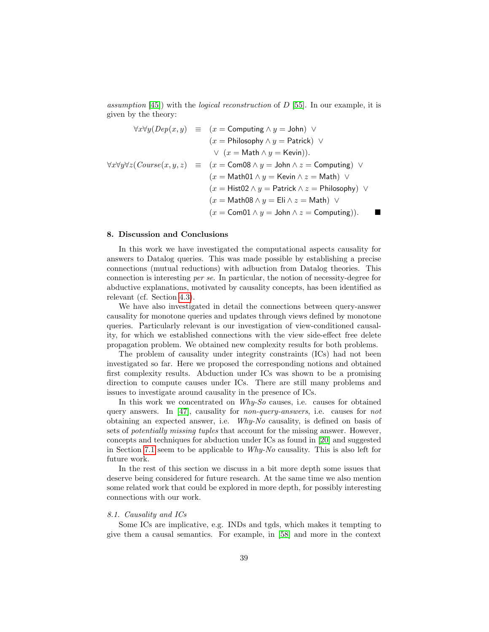assumption  $[45]$ ) with the *logical reconstruction* of D  $[55]$ . In our example, it is given by the theory:

$$
\forall x \forall y (Dep(x, y) \equiv (x = \text{Computing} \land y = \text{John}) \lor (x = \text{Philosophy} \land y = \text{Patrick}) \lor \lor (x = \text{Math} \land y = \text{Kevin})).
$$
  

$$
\forall x \forall y \forall z (Course(x, y, z) \equiv (x = \text{Com08} \land y = \text{John} \land z = \text{Computing}) \lor (x = \text{Math01} \land y = \text{Kevin} \land z = \text{Math}) \lor (x = \text{Hist02} \land y = \text{Patrick} \land z = \text{Philosophy}) \lor (x = \text{Math08} \land y = \text{Eli} \land z = \text{Math}) \lor (x = \text{Com01} \land y = \text{John} \land z = \text{Computing})).
$$

#### <span id="page-38-0"></span>8. Discussion and Conclusions

In this work we have investigated the computational aspects causality for answers to Datalog queries. This was made possible by establishing a precise connections (mutual reductions) with adbuction from Datalog theories. This connection is interesting per se. In particular, the notion of necessity-degree for abductive explanations, motivated by causality concepts, has been identified as relevant (cf. Section [4.3\)](#page-15-2).

We have also investigated in detail the connections between query-answer causality for monotone queries and updates through views defined by monotone queries. Particularly relevant is our investigation of view-conditioned causality, for which we established connections with the view side-effect free delete propagation problem. We obtained new complexity results for both problems.

The problem of causality under integrity constraints (ICs) had not been investigated so far. Here we proposed the corresponding notions and obtained first complexity results. Abduction under ICs was shown to be a promising direction to compute causes under ICs. There are still many problems and issues to investigate around causality in the presence of ICs.

In this work we concentrated on *Why-So* causes, i.e. causes for obtained query answers. In [\[47\]](#page-43-2), causality for *non-query-answers*, i.e. causes for *not* obtaining an expected answer, i.e. Why-No causality, is defined on basis of sets of potentially missing tuples that account for the missing answer. However, concepts and techniques for abduction under ICs as found in [\[20\]](#page-42-12) and suggested in Section [7.1](#page-34-2) seem to be applicable to Why-No causality. This is also left for future work.

In the rest of this section we discuss in a bit more depth some issues that deserve being considered for future research. At the same time we also mention some related work that could be explored in more depth, for possibly interesting connections with our work.

## 8.1. Causality and ICs

Some ICs are implicative, e.g. INDs and tgds, which makes it tempting to give them a causal semantics. For example, in [\[58\]](#page-44-13) and more in the context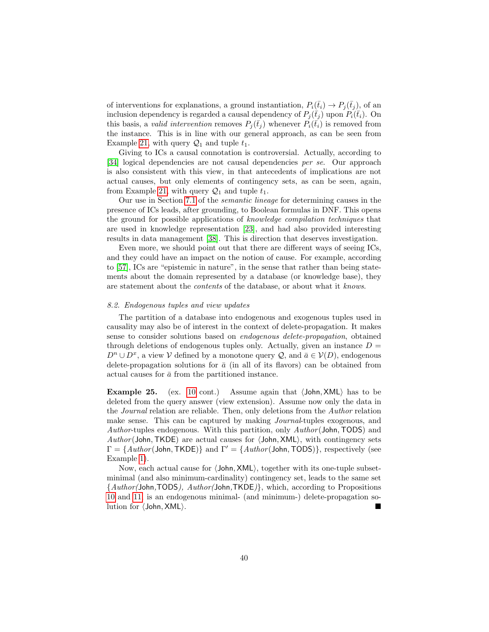of interventions for explanations, a ground instantiation,  $P_i(\bar{t}_i) \to P_j(\bar{t}_j)$ , of an inclusion dependency is regarded a causal dependency of  $P_i(\bar{t}_i)$  upon  $P_i(\bar{t}_i)$ . On this basis, a *valid intervention* removes  $P_j(\bar{t}_j)$  whenever  $P_i(\bar{t}_i)$  is removed from the instance. This is in line with our general approach, as can be seen from Example [21,](#page-31-3) with query  $\mathcal{Q}_1$  and tuple  $t_1$ .

Giving to ICs a causal connotation is controversial. Actually, according to [\[34\]](#page-42-13) logical dependencies are not causal dependencies per se. Our approach is also consistent with this view, in that antecedents of implications are not actual causes, but only elements of contingency sets, as can be seen, again, from Example [21,](#page-31-3) with query  $\mathcal{Q}_1$  and tuple  $t_1$ .

Our use in Section [7.1](#page-34-2) of the semantic lineage for determining causes in the presence of ICs leads, after grounding, to Boolean formulas in DNF. This opens the ground for possible applications of knowledge compilation techniques that are used in knowledge representation [\[23\]](#page-42-14), and had also provided interesting results in data management [\[38\]](#page-43-16). This is direction that deserves investigation.

Even more, we should point out that there are different ways of seeing ICs, and they could have an impact on the notion of cause. For example, according to [\[57\]](#page-44-14), ICs are "epistemic in nature", in the sense that rather than being statements about the domain represented by a database (or knowledge base), they are statement about the contents of the database, or about what it knows.

#### <span id="page-39-0"></span>8.2. Endogenous tuples and view updates

The partition of a database into endogenous and exogenous tuples used in causality may also be of interest in the context of delete-propagation. It makes sense to consider solutions based on endogenous delete-propagation, obtained through deletions of endogenous tuples only. Actually, given an instance  $D =$  $D^n \cup D^x$ , a view V defined by a monotone query Q, and  $\bar{a} \in V(D)$ , endogenous delete-propagation solutions for  $\bar{a}$  (in all of its flavors) can be obtained from actual causes for  $\bar{a}$  from the partitioned instance.

**Example 25.** (ex. [10](#page-20-1) cont.) Assume again that  $\langle$  John, XML $\rangle$  has to be deleted from the query answer (view extension). Assume now only the data in the Journal relation are reliable. Then, only deletions from the Author relation make sense. This can be captured by making Journal-tuples exogenous, and Author-tuples endogenous. With this partition, only Author (John, TODS) and  $Author(John, TKDE)$  are actual causes for  $\langle John, XML \rangle$ , with contingency sets  $\Gamma = \{Author(John, TKDE)\}$  and  $\Gamma' = \{Author(John, TODS)\}$ , respectively (see Example [1\)](#page-6-3).

Now, each actual cause for  $\langle$  John, XML $\rangle$ , together with its one-tuple subsetminimal (and also minimum-cardinality) contingency set, leads to the same set {Author(John,TODS), Author(John,TKDE)}, which, according to Propositions [10](#page-22-0) and [11,](#page-22-1) is an endogenous minimal- (and minimum-) delete-propagation solution for  $\langle$  John, XML $\rangle$ .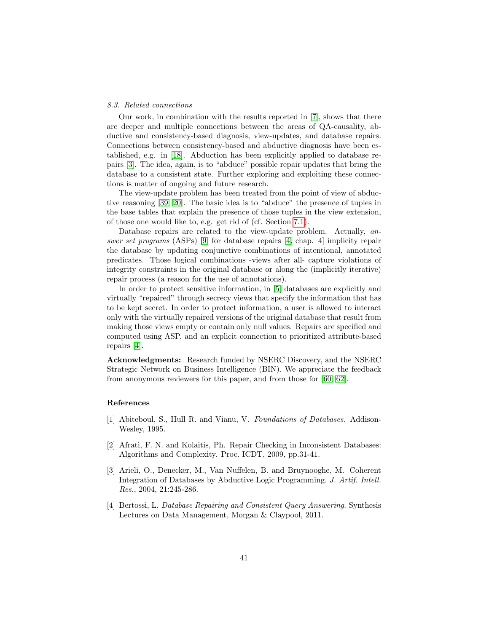#### 8.3. Related connections

Our work, in combination with the results reported in [\[7\]](#page-41-1), shows that there are deeper and multiple connections between the areas of QA-causality, abductive and consistency-based diagnosis, view-updates, and database repairs. Connections between consistency-based and abductive diagnosis have been established, e.g. in [\[18\]](#page-41-12). Abduction has been explicitly applied to database repairs [\[3\]](#page-40-3). The idea, again, is to "abduce" possible repair updates that bring the database to a consistent state. Further exploring and exploiting these connections is matter of ongoing and future research.

The view-update problem has been treated from the point of view of abductive reasoning [\[39,](#page-43-11) [20\]](#page-42-12). The basic idea is to "abduce" the presence of tuples in the base tables that explain the presence of those tuples in the view extension, of those one would like to, e.g. get rid of (cf. Section [7.1\)](#page-34-2).

Database repairs are related to the view-update problem. Actually, an-swer set programs (ASPs) [\[9\]](#page-41-13) for database repairs [\[4,](#page-40-0) chap. 4] implicity repair the database by updating conjunctive combinations of intentional, annotated predicates. Those logical combinations -views after all- capture violations of integrity constraints in the original database or along the (implicitly iterative) repair process (a reason for the use of annotations).

In order to protect sensitive information, in [\[5\]](#page-41-14) databases are explicitly and virtually "repaired" through secrecy views that specify the information that has to be kept secret. In order to protect information, a user is allowed to interact only with the virtually repaired versions of the original database that result from making those views empty or contain only null values. Repairs are specified and computed using ASP, and an explicit connection to prioritized attribute-based repairs [\[4\]](#page-40-0).

Acknowledgments: Research funded by NSERC Discovery, and the NSERC Strategic Network on Business Intelligence (BIN). We appreciate the feedback from anonymous reviewers for this paper, and from those for [\[60,](#page-44-2) [62\]](#page-44-3).

## References

- <span id="page-40-1"></span>[1] Abiteboul, S., Hull R. and Vianu, V. Foundations of Databases. Addison-Wesley, 1995.
- <span id="page-40-2"></span>[2] Afrati, F. N. and Kolaitis, Ph. Repair Checking in Inconsistent Databases: Algorithms and Complexity. Proc. ICDT, 2009, pp.31-41.
- <span id="page-40-3"></span>[3] Arieli, O., Denecker, M., Van Nuffelen, B. and Bruynooghe, M. Coherent Integration of Databases by Abductive Logic Programming. J. Artif. Intell. Res., 2004, 21:245-286.
- <span id="page-40-0"></span>[4] Bertossi, L. Database Repairing and Consistent Query Answering. Synthesis Lectures on Data Management, Morgan & Claypool, 2011.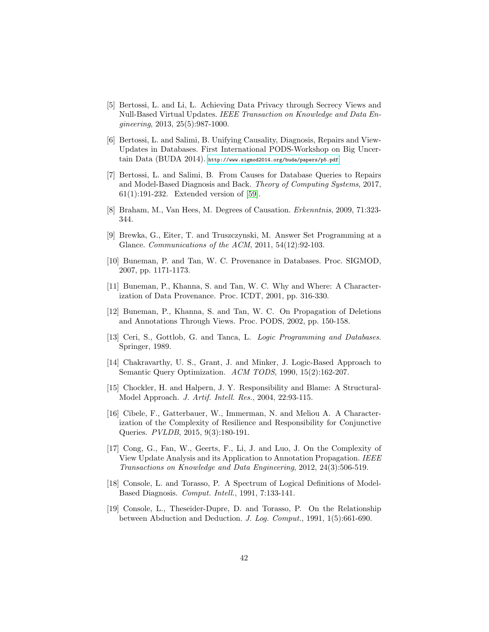- <span id="page-41-14"></span>[5] Bertossi, L. and Li, L. Achieving Data Privacy through Secrecy Views and Null-Based Virtual Updates. IEEE Transaction on Knowledge and Data Engineering, 2013, 25(5):987-1000.
- <span id="page-41-2"></span>[6] Bertossi, L. and Salimi, B. Unifying Causality, Diagnosis, Repairs and View-Updates in Databases. First International PODS-Workshop on Big Uncertain Data (BUDA 2014). <http://www.sigmod2014.org/buda/papers/p5.pdf>
- <span id="page-41-1"></span>[7] Bertossi, L. and Salimi, B. From Causes for Database Queries to Repairs and Model-Based Diagnosis and Back. Theory of Computing Systems, 2017, 61(1):191-232. Extended version of [\[59\]](#page-44-0).
- <span id="page-41-6"></span>[8] Braham, M., Van Hees, M. Degrees of Causation. Erkenntnis, 2009, 71:323- 344.
- <span id="page-41-13"></span>[9] Brewka, G., Eiter, T. and Truszczynski, M. Answer Set Programming at a Glance. Communications of the ACM, 2011, 54(12):92-103.
- <span id="page-41-7"></span>[10] Buneman, P. and Tan, W. C. Provenance in Databases. Proc. SIGMOD, 2007, pp. 1171-1173.
- <span id="page-41-11"></span>[11] Buneman, P., Khanna, S. and Tan, W. C. Why and Where: A Characterization of Data Provenance. Proc. ICDT, 2001, pp. 316-330.
- <span id="page-41-5"></span>[12] Buneman, P., Khanna, S. and Tan, W. C. On Propagation of Deletions and Annotations Through Views. Proc. PODS, 2002, pp. 150-158.
- <span id="page-41-4"></span>[13] Ceri, S., Gottlob, G. and Tanca, L. *Logic Programming and Databases*. Springer, 1989.
- <span id="page-41-10"></span>[14] Chakravarthy, U. S., Grant, J. and Minker, J. Logic-Based Approach to Semantic Query Optimization. ACM TODS, 1990, 15(2):162-207.
- <span id="page-41-0"></span>[15] Chockler, H. and Halpern, J. Y. Responsibility and Blame: A Structural-Model Approach. J. Artif. Intell. Res., 2004, 22:93-115.
- <span id="page-41-9"></span>[16] Cibele, F., Gatterbauer, W., Immerman, N. and Meliou A. A Characterization of the Complexity of Resilience and Responsibility for Conjunctive Queries. PVLDB, 2015, 9(3):180-191.
- <span id="page-41-8"></span>[17] Cong, G., Fan, W., Geerts, F., Li, J. and Luo, J. On the Complexity of View Update Analysis and its Application to Annotation Propagation. IEEE Transactions on Knowledge and Data Engineering, 2012, 24(3):506-519.
- <span id="page-41-12"></span>[18] Console, L. and Torasso, P. A Spectrum of Logical Definitions of Model-Based Diagnosis. Comput. Intell., 1991, 7:133-141.
- <span id="page-41-3"></span>[19] Console, L., Theseider-Dupre, D. and Torasso, P. On the Relationship between Abduction and Deduction. J. Log. Comput., 1991, 1(5):661-690.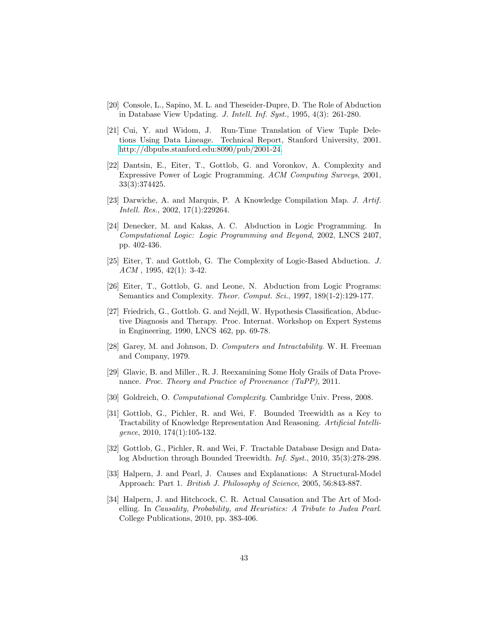- <span id="page-42-12"></span>[20] Console, L., Sapino, M. L. and Theseider-Dupre, D. The Role of Abduction in Database View Updating. J. Intell. Inf. Syst., 1995, 4(3): 261-280.
- <span id="page-42-8"></span>[21] Cui, Y. and Widom, J. Run-Time Translation of View Tuple Deletions Using Data Lineage. Technical Report, Stanford University, 2001. [http://dbpubs.stanford.edu:8090/pub/2001-24.](http://dbpubs.stanford.edu:8090/pub/2001-24)
- <span id="page-42-6"></span>[22] Dantsin, E., Eiter, T., Gottlob, G. and Voronkov, A. Complexity and Expressive Power of Logic Programming. ACM Computing Surveys, 2001, 33(3):374425.
- <span id="page-42-14"></span>[23] Darwiche, A. and Marquis, P. A Knowledge Compilation Map. J. Artif. Intell. Res., 2002, 17(1):229264.
- <span id="page-42-2"></span>[24] Denecker, M. and Kakas, A. C. Abduction in Logic Programming. In Computational Logic: Logic Programming and Beyond, 2002, LNCS 2407, pp. 402-436.
- <span id="page-42-1"></span>[25] Eiter, T. and Gottlob, G. The Complexity of Logic-Based Abduction. J.  $ACM$ , 1995, 42(1): 3-42.
- <span id="page-42-3"></span>[26] Eiter, T., Gottlob, G. and Leone, N. Abduction from Logic Programs: Semantics and Complexity. *Theor. Comput. Sci.*, 1997, 189(1-2):129-177.
- <span id="page-42-5"></span>[27] Friedrich, G., Gottlob. G. and Nejdl, W. Hypothesis Classification, Abductive Diagnosis and Therapy. Proc. Internat. Workshop on Expert Systems in Engineering, 1990, LNCS 462, pp. 69-78.
- <span id="page-42-9"></span>[28] Garey, M. and Johnson, D. Computers and Intractability. W. H. Freeman and Company, 1979.
- <span id="page-42-11"></span>[29] Glavic, B. and Miller., R. J. Reexamining Some Holy Grails of Data Provenance. Proc. Theory and Practice of Provenance (TaPP), 2011.
- <span id="page-42-10"></span>[30] Goldreich, O. Computational Complexity. Cambridge Univ. Press, 2008.
- <span id="page-42-7"></span>[31] Gottlob, G., Pichler, R. and Wei, F. Bounded Treewidth as a Key to Tractability of Knowledge Representation And Reasoning. Artificial Intelligence, 2010, 174(1):105-132.
- <span id="page-42-4"></span>[32] Gottlob, G., Pichler, R. and Wei, F. Tractable Database Design and Datalog Abduction through Bounded Treewidth. Inf. Syst., 2010, 35(3):278-298.
- <span id="page-42-0"></span>[33] Halpern, J. and Pearl, J. Causes and Explanations: A Structural-Model Approach: Part 1. British J. Philosophy of Science, 2005, 56:843-887.
- <span id="page-42-13"></span>[34] Halpern, J. and Hitchcock, C. R. Actual Causation and The Art of Modelling. In Causality, Probability, and Heuristics: A Tribute to Judea Pearl. College Publications, 2010, pp. 383-406.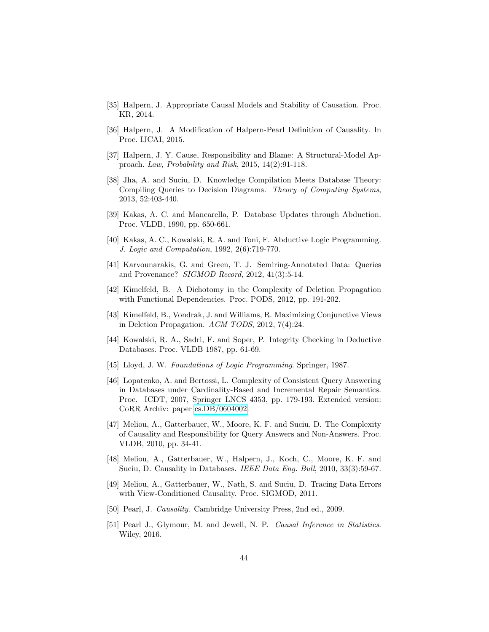- <span id="page-43-5"></span>[35] Halpern, J. Appropriate Causal Models and Stability of Causation. Proc. KR, 2014.
- <span id="page-43-6"></span>[36] Halpern, J. A Modification of Halpern-Pearl Definition of Causality. In Proc. IJCAI, 2015.
- <span id="page-43-9"></span>[37] Halpern, J. Y. Cause, Responsibility and Blame: A Structural-Model Approach. Law, Probability and Risk, 2015, 14(2):91-118.
- <span id="page-43-16"></span>[38] Jha, A. and Suciu, D. Knowledge Compilation Meets Database Theory: Compiling Queries to Decision Diagrams. Theory of Computing Systems, 2013, 52:403-440.
- <span id="page-43-11"></span>[39] Kakas, A. C. and Mancarella, P. Database Updates through Abduction. Proc. VLDB, 1990, pp. 650-661.
- <span id="page-43-12"></span>[40] Kakas, A. C., Kowalski, R. A. and Toni, F. Abductive Logic Programming. J. Logic and Computation, 1992, 2(6):719-770.
- <span id="page-43-15"></span>[41] Karvounarakis, G. and Green, T. J. Semiring-Annotated Data: Queries and Provenance? SIGMOD Record, 2012, 41(3):5-14.
- <span id="page-43-7"></span>[42] Kimelfeld, B. A Dichotomy in the Complexity of Deletion Propagation with Functional Dependencies. Proc. PODS, 2012, pp. 191-202.
- <span id="page-43-8"></span>[43] Kimelfeld, B., Vondrak, J. and Williams, R. Maximizing Conjunctive Views in Deletion Propagation. ACM TODS, 2012, 7(4):24.
- <span id="page-43-13"></span>[44] Kowalski, R. A., Sadri, F. and Soper, P. Integrity Checking in Deductive Databases. Proc. VLDB 1987, pp. 61-69.
- <span id="page-43-14"></span>[45] Lloyd, J. W. Foundations of Logic Programming. Springer, 1987.
- <span id="page-43-10"></span>[46] Lopatenko, A. and Bertossi, L. Complexity of Consistent Query Answering in Databases under Cardinality-Based and Incremental Repair Semantics. Proc. ICDT, 2007, Springer LNCS 4353, pp. 179-193. Extended version: CoRR Archiv: paper [cs.DB/0604002.](http://arxiv.org/abs/cs/0604002)
- <span id="page-43-2"></span>[47] Meliou, A., Gatterbauer, W., Moore, K. F. and Suciu, D. The Complexity of Causality and Responsibility for Query Answers and Non-Answers. Proc. VLDB, 2010, pp. 34-41.
- <span id="page-43-3"></span>[48] Meliou, A., Gatterbauer, W., Halpern, J., Koch, C., Moore, K. F. and Suciu, D. Causality in Databases. IEEE Data Eng. Bull, 2010, 33(3):59-67.
- <span id="page-43-4"></span>[49] Meliou, A., Gatterbauer, W., Nath, S. and Suciu, D. Tracing Data Errors with View-Conditioned Causality. Proc. SIGMOD, 2011.
- <span id="page-43-0"></span>[50] Pearl, J. Causality. Cambridge University Press, 2nd ed., 2009.
- <span id="page-43-1"></span>[51] Pearl J., Glymour, M. and Jewell, N. P. Causal Inference in Statistics. Wiley, 2016.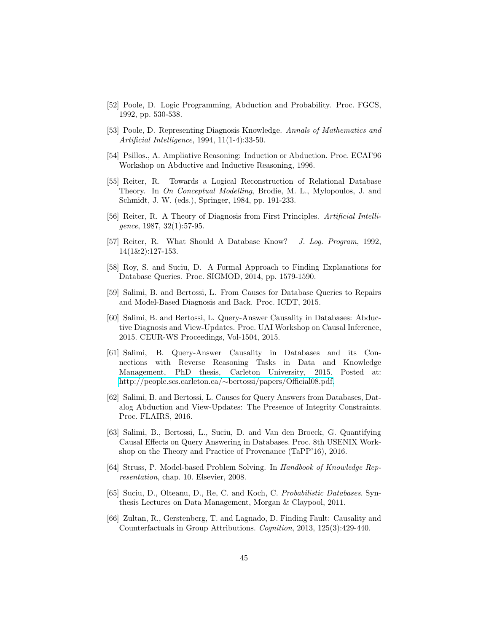- <span id="page-44-9"></span>[52] Poole, D. Logic Programming, Abduction and Probability. Proc. FGCS, 1992, pp. 530-538.
- <span id="page-44-10"></span>[53] Poole, D. Representing Diagnosis Knowledge. Annals of Mathematics and Artificial Intelligence, 1994, 11(1-4):33-50.
- <span id="page-44-8"></span>[54] Psillos., A. Ampliative Reasoning: Induction or Abduction. Proc. ECAI'96 Workshop on Abductive and Inductive Reasoning, 1996.
- <span id="page-44-12"></span>[55] Reiter, R. Towards a Logical Reconstruction of Relational Database Theory. In On Conceptual Modelling, Brodie, M. L., Mylopoulos, J. and Schmidt, J. W. (eds.), Springer, 1984, pp. 191-233.
- <span id="page-44-1"></span>[56] Reiter, R. A Theory of Diagnosis from First Principles. Artificial Intelligence, 1987, 32(1):57-95.
- <span id="page-44-14"></span>[57] Reiter, R. What Should A Database Know? J. Log. Program, 1992, 14(1&2):127-153.
- <span id="page-44-13"></span>[58] Roy, S. and Suciu, D. A Formal Approach to Finding Explanations for Database Queries. Proc. SIGMOD, 2014, pp. 1579-1590.
- <span id="page-44-0"></span>[59] Salimi, B. and Bertossi, L. From Causes for Database Queries to Repairs and Model-Based Diagnosis and Back. Proc. ICDT, 2015.
- <span id="page-44-2"></span>[60] Salimi, B. and Bertossi, L. Query-Answer Causality in Databases: Abductive Diagnosis and View-Updates. Proc. UAI Workshop on Causal Inference, 2015. CEUR-WS Proceedings, Vol-1504, 2015.
- <span id="page-44-5"></span>[61] Salimi, B. Query-Answer Causality in Databases and its Connections with Reverse Reasoning Tasks in Data and Knowledge Management, PhD thesis, Carleton University, 2015. Posted at: http://people.scs.carleton.ca/∼[bertossi/papers/Official08.pdf.](http://people.scs.carleton.ca/~bertossi/papers/Official08.pdf)
- <span id="page-44-3"></span>[62] Salimi, B. and Bertossi, L. Causes for Query Answers from Databases, Datalog Abduction and View-Updates: The Presence of Integrity Constraints. Proc. FLAIRS, 2016.
- <span id="page-44-6"></span>[63] Salimi, B., Bertossi, L., Suciu, D. and Van den Broeck, G. Quantifying Causal Effects on Query Answering in Databases. Proc. 8th USENIX Workshop on the Theory and Practice of Provenance (TaPP'16), 2016.
- <span id="page-44-11"></span>[64] Struss, P. Model-based Problem Solving. In Handbook of Knowledge Representation, chap. 10. Elsevier, 2008.
- <span id="page-44-7"></span>[65] Suciu, D., Olteanu, D., Re, C. and Koch, C. Probabilistic Databases. Synthesis Lectures on Data Management, Morgan & Claypool, 2011.
- <span id="page-44-4"></span>[66] Zultan, R., Gerstenberg, T. and Lagnado, D. Finding Fault: Causality and Counterfactuals in Group Attributions. Cognition, 2013, 125(3):429-440.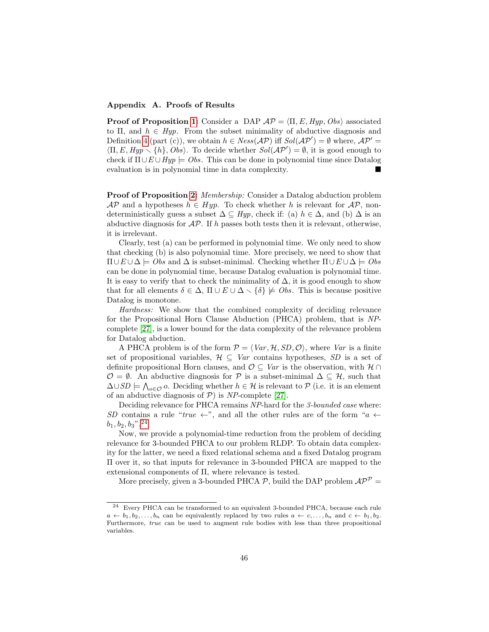## Appendix A. Proofs of Results

**Proof of Proposition [1:](#page-12-1)** Consider a DAP  $AP = \langle \Pi, E, Hyp, Obs \rangle$  associated to Π, and  $h \in Hyp$ . From the subset minimality of abductive diagnosis and Definition [4](#page-10-4) (part (c)), we obtain  $h \in Ness(\mathcal{AP})$  iff  $Sol(\mathcal{AP}') = \emptyset$  where,  $\mathcal{AP}' =$  $\langle \Pi, E, Hyp \setminus \{h\}, Obs \rangle$ . To decide whether  $Sol(\mathcal{AP}') = \emptyset$ , it is good enough to check if  $\Pi \cup E \cup Hyp \models Obs$ . This can be done in polynomial time since Datalog evaluation is in polynomial time in data complexity.

Proof of Proposition [2:](#page-12-2) Membership: Consider a Datalog abduction problem  $\mathcal{AP}$  and a hypotheses  $h \in Hyp$ . To check whether h is relevant for  $\mathcal{AP}$ , nondeterministically guess a subset  $\Delta \subseteq Hyp$ , check if: (a)  $h \in \Delta$ , and (b)  $\Delta$  is an abductive diagnosis for  $\mathcal{AP}$ . If h passes both tests then it is relevant, otherwise, it is irrelevant.

Clearly, test (a) can be performed in polynomial time. We only need to show that checking (b) is also polynomial time. More precisely, we need to show that  $\Pi \cup E \cup \Delta \models Obs$  and  $\Delta$  is subset-minimal. Checking whether  $\Pi \cup E \cup \Delta \models Obs$ can be done in polynomial time, because Datalog evaluation is polynomial time. It is easy to verify that to check the minimality of  $\Delta$ , it is good enough to show that for all elements  $\delta \in \Delta$ ,  $\Pi \cup E \cup \Delta \setminus {\delta} \not\models \textit{Obs}$ . This is because positive Datalog is monotone.

Hardness: We show that the combined complexity of deciding relevance for the Propositional Horn Clause Abduction (PHCA) problem, that is NPcomplete [\[27\]](#page-42-5), is a lower bound for the data complexity of the relevance problem for Datalog abduction.

A PHCA problem is of the form  $P = \langle Var, H, SD, O \rangle$ , where Var is a finite set of propositional variables,  $\mathcal{H} \subseteq Var$  contains hypotheses, SD is a set of definite propositional Horn clauses, and  $\mathcal{O} \subseteq Var$  is the observation, with  $\mathcal{H} \cap$  $\mathcal{O} = \emptyset$ . An abductive diagnosis for  $\mathcal{P}$  is a subset-minimal  $\Delta \subseteq \mathcal{H}$ , such that  $\Delta \cup SD \models \bigwedge_{o \in \mathcal{O}} o$ . Deciding whether  $h \in \mathcal{H}$  is relevant to  $\mathcal{P}$  (i.e. it is an element of an abductive diagnosis of  $P$ ) is NP-complete [\[27\]](#page-42-5).

Deciding relevance for PHCA remains NP-hard for the 3-bounded case where: SD contains a rule "true  $\leftarrow$ ", and all the other rules are of the form "a  $\leftarrow$  $b_1, b_2, b_3$ ". <sup>[24](#page-45-0)</sup>

Now, we provide a polynomial-time reduction from the problem of deciding relevance for 3-bounded PHCA to our problem RLDP. To obtain data complexity for the latter, we need a fixed relational schema and a fixed Datalog program Π over it, so that inputs for relevance in 3-bounded PHCA are mapped to the extensional components of Π, where relevance is tested.

More precisely, given a 3-bounded PHCA  $P$ , build the DAP problem  $AP^P =$ 

<span id="page-45-0"></span><sup>24</sup> Every PHCA can be transformed to an equivalent 3-bounded PHCA, because each rule  $a \leftarrow b_1, b_2, \ldots, b_n$  can be equivalently replaced by two rules  $a \leftarrow c, \ldots, b_n$  and  $c \leftarrow b_1, b_2$ . Furthermore, true can be used to augment rule bodies with less than three propositional variables.